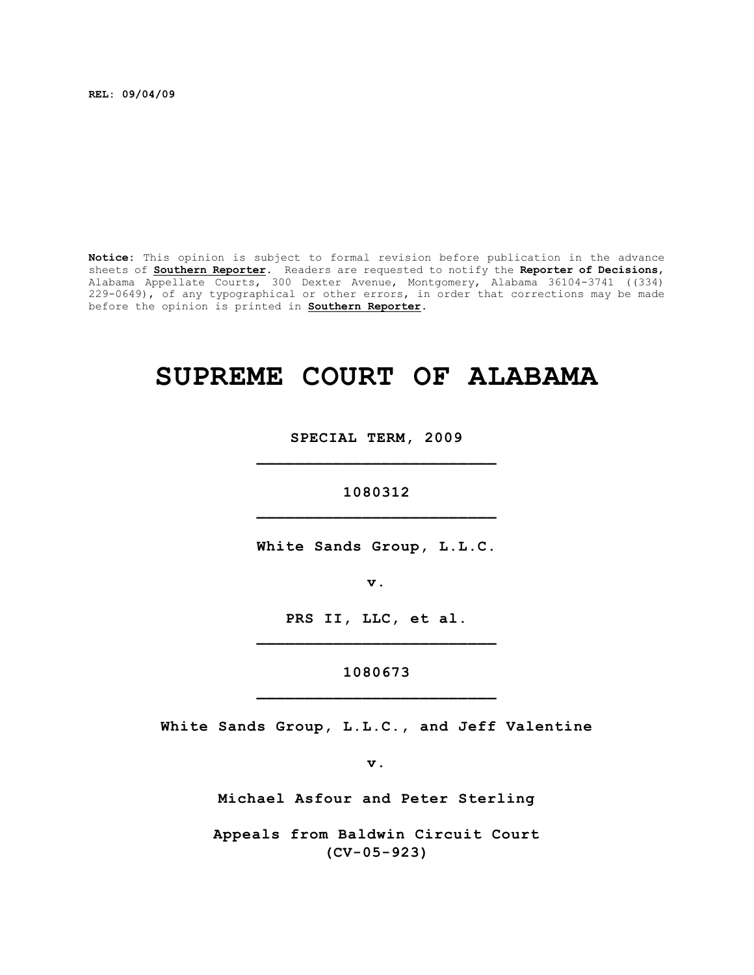**REL: 09/04/09**

**Notice:** This opinion is subject to formal revision before publication in the advance sheets of **Southern Reporter**. Readers are requested to notify the **Reporter of Decisions**, Alabama Appellate Courts, 300 Dexter Avenue, Montgomery, Alabama 36104-3741 ((334) 229-0649), of any typographical or other errors, in order that corrections may be made before the opinion is printed in **Southern Reporter**.

# **SUPREME COURT OF ALABAMA**

**SPECIAL TERM, 2009 \_\_\_\_\_\_\_\_\_\_\_\_\_\_\_\_\_\_\_\_\_\_\_\_\_**

**1080312 \_\_\_\_\_\_\_\_\_\_\_\_\_\_\_\_\_\_\_\_\_\_\_\_\_**

**White Sands Group, L.L.C.**

**v.**

**PRS II, LLC, et al. \_\_\_\_\_\_\_\_\_\_\_\_\_\_\_\_\_\_\_\_\_\_\_\_\_**

**1080673 \_\_\_\_\_\_\_\_\_\_\_\_\_\_\_\_\_\_\_\_\_\_\_\_\_**

**White Sands Group, L.L.C., and Jeff Valentine**

**v.**

**Michael Asfour and Peter Sterling**

**Appeals from Baldwin Circuit Court (CV-05-923)**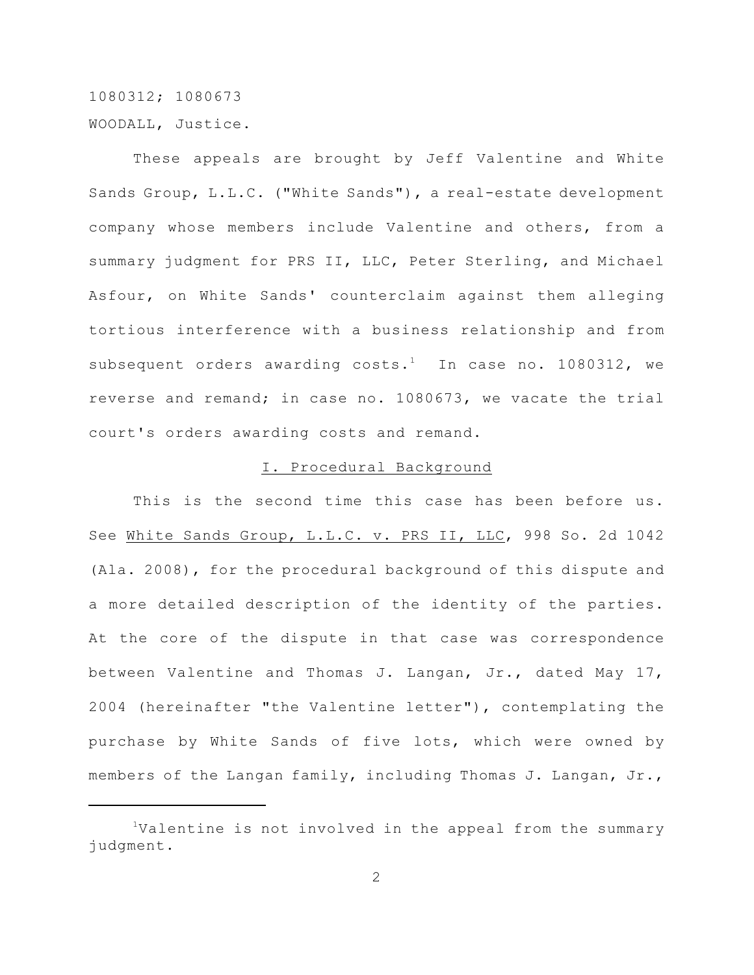1080312; 1080673 WOODALL, Justice.

These appeals are brought by Jeff Valentine and White Sands Group, L.L.C. ("White Sands"), a real-estate development company whose members include Valentine and others, from a summary judgment for PRS II, LLC, Peter Sterling, and Michael Asfour, on White Sands' counterclaim against them alleging tortious interference with a business relationship and from subsequent orders awarding costs.<sup>1</sup> In case no. 1080312, we reverse and remand; in case no. 1080673, we vacate the trial court's orders awarding costs and remand.

#### I. Procedural Background

This is the second time this case has been before us. See White Sands Group, L.L.C. v. PRS II, LLC, 998 So. 2d 1042 (Ala. 2008), for the procedural background of this dispute and a more detailed description of the identity of the parties. At the core of the dispute in that case was correspondence between Valentine and Thomas J. Langan, Jr., dated May 17, 2004 (hereinafter "the Valentine letter"), contemplating the purchase by White Sands of five lots, which were owned by members of the Langan family, including Thomas J. Langan, Jr.,

<sup>&</sup>lt;sup>1</sup>Valentine is not involved in the appeal from the summary judgment.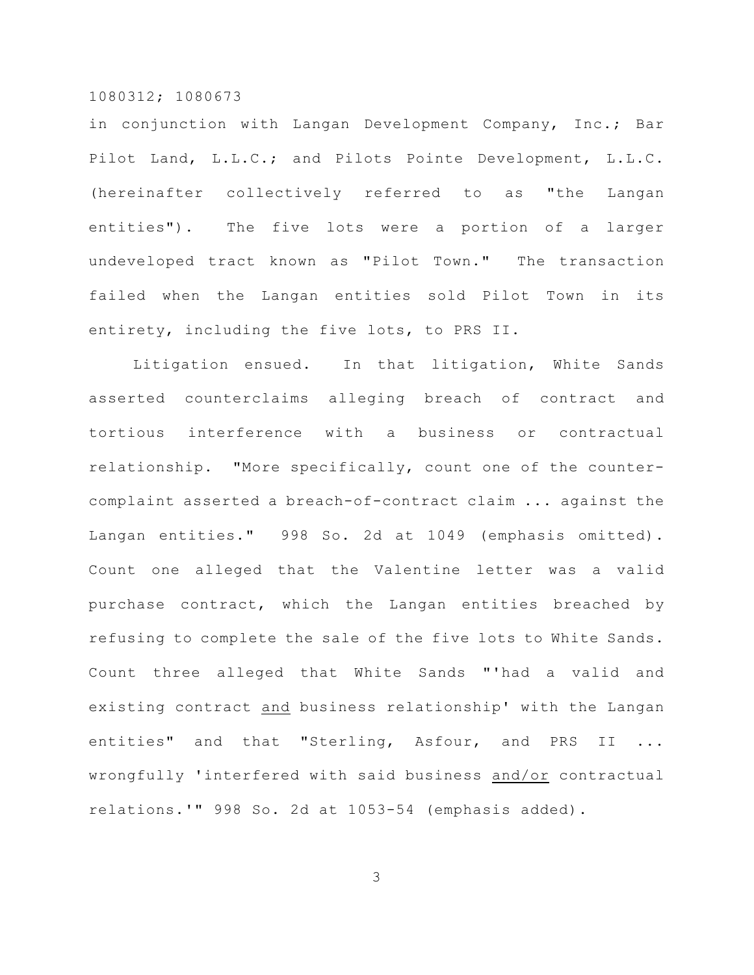in conjunction with Langan Development Company, Inc.; Bar Pilot Land, L.L.C.; and Pilots Pointe Development, L.L.C. (hereinafter collectively referred to as "the Langan entities"). The five lots were a portion of a larger undeveloped tract known as "Pilot Town." The transaction failed when the Langan entities sold Pilot Town in its entirety, including the five lots, to PRS II.

Litigation ensued. In that litigation, White Sands asserted counterclaims alleging breach of contract and tortious interference with a business or contractual relationship. "More specifically, count one of the countercomplaint asserted a breach-of-contract claim ... against the Langan entities." 998 So. 2d at 1049 (emphasis omitted). Count one alleged that the Valentine letter was a valid purchase contract, which the Langan entities breached by refusing to complete the sale of the five lots to White Sands. Count three alleged that White Sands "'had a valid and existing contract and business relationship' with the Langan entities" and that "Sterling, Asfour, and PRS II ... wrongfully 'interfered with said business and/or contractual relations.'" 998 So. 2d at 1053-54 (emphasis added).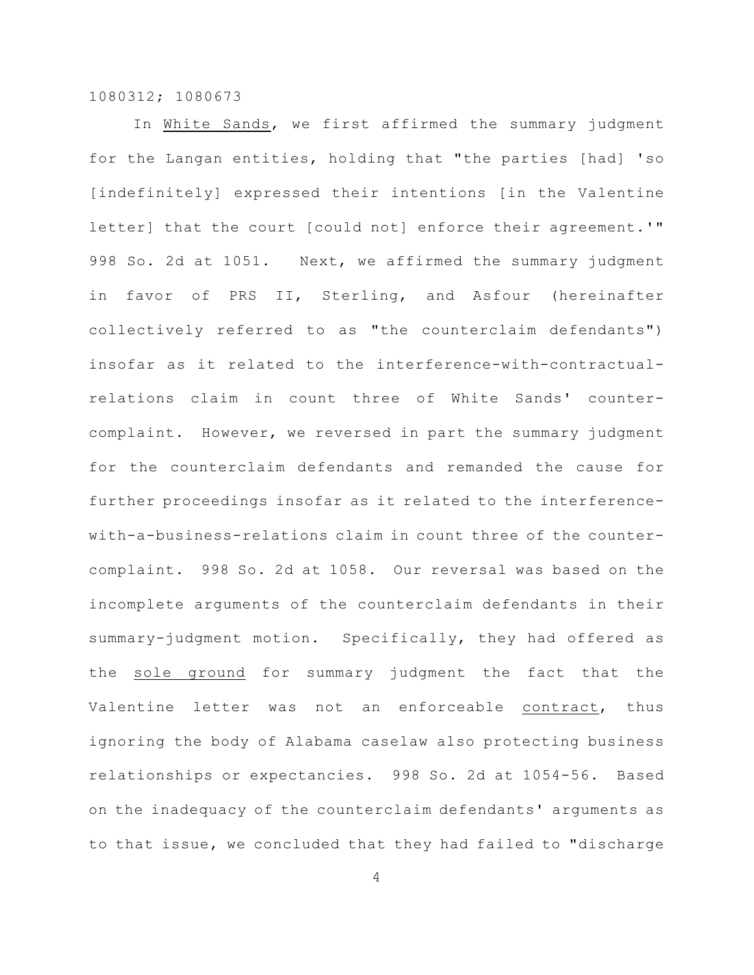In White Sands, we first affirmed the summary judgment for the Langan entities, holding that "the parties [had] 'so [indefinitely] expressed their intentions [in the Valentine letter] that the court [could not] enforce their agreement.'" 998 So. 2d at 1051. Next, we affirmed the summary judgment in favor of PRS II, Sterling, and Asfour (hereinafter collectively referred to as "the counterclaim defendants") insofar as it related to the interference-with-contractualrelations claim in count three of White Sands' countercomplaint. However, we reversed in part the summary judgment for the counterclaim defendants and remanded the cause for further proceedings insofar as it related to the interferencewith-a-business-relations claim in count three of the countercomplaint. 998 So. 2d at 1058. Our reversal was based on the incomplete arguments of the counterclaim defendants in their summary-judgment motion. Specifically, they had offered as the sole ground for summary judgment the fact that the Valentine letter was not an enforceable contract, thus ignoring the body of Alabama caselaw also protecting business relationships or expectancies. 998 So. 2d at 1054-56. Based on the inadequacy of the counterclaim defendants' arguments as to that issue, we concluded that they had failed to "discharge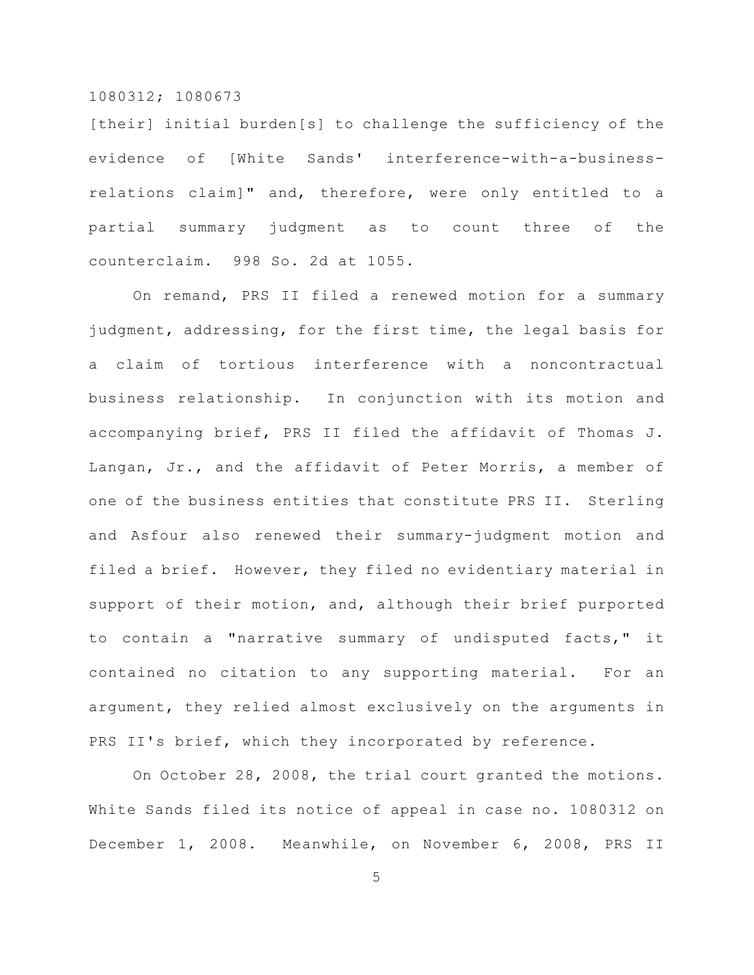[their] initial burden[s] to challenge the sufficiency of the evidence of [White Sands' interference-with-a-businessrelations claim]" and, therefore, were only entitled to a partial summary judgment as to count three of the counterclaim. 998 So. 2d at 1055.

On remand, PRS II filed a renewed motion for a summary judgment, addressing, for the first time, the legal basis for a claim of tortious interference with a noncontractual business relationship. In conjunction with its motion and accompanying brief, PRS II filed the affidavit of Thomas J. Langan, Jr., and the affidavit of Peter Morris, a member of one of the business entities that constitute PRS II. Sterling and Asfour also renewed their summary-judgment motion and filed a brief. However, they filed no evidentiary material in support of their motion, and, although their brief purported to contain a "narrative summary of undisputed facts," it contained no citation to any supporting material. For an argument, they relied almost exclusively on the arguments in PRS II's brief, which they incorporated by reference.

On October 28, 2008, the trial court granted the motions. White Sands filed its notice of appeal in case no. 1080312 on December 1, 2008. Meanwhile, on November 6, 2008, PRS II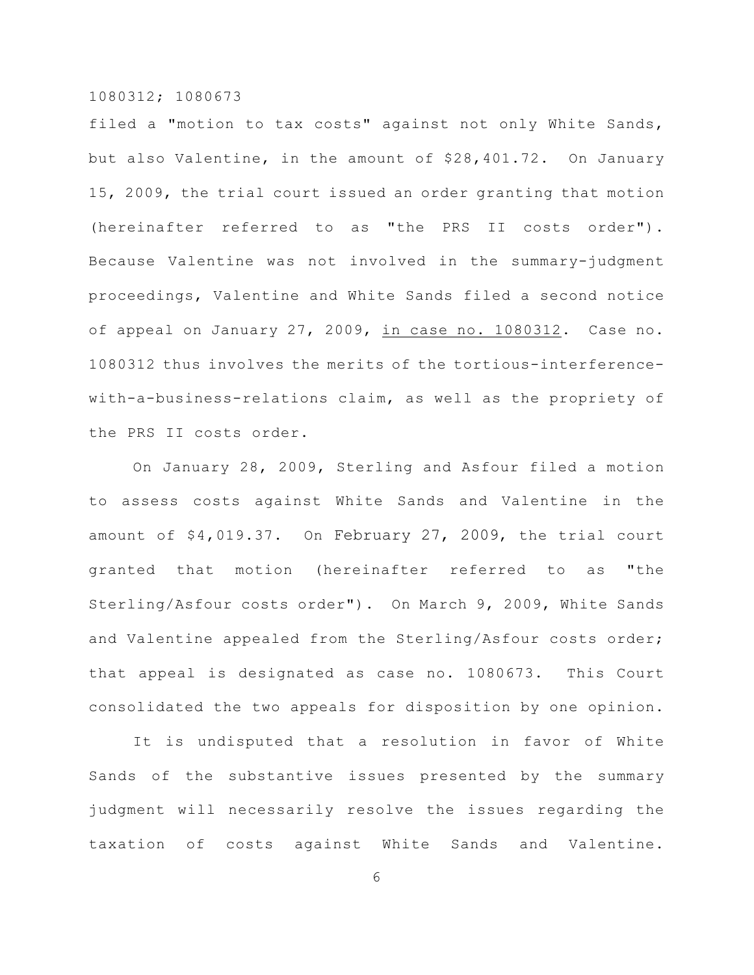filed a "motion to tax costs" against not only White Sands, but also Valentine, in the amount of \$28,401.72. On January 15, 2009, the trial court issued an order granting that motion (hereinafter referred to as "the PRS II costs order"). Because Valentine was not involved in the summary-judgment proceedings, Valentine and White Sands filed a second notice of appeal on January 27, 2009, in case no. 1080312. Case no. 1080312 thus involves the merits of the tortious-interferencewith-a-business-relations claim, as well as the propriety of the PRS II costs order.

On January 28, 2009, Sterling and Asfour filed a motion to assess costs against White Sands and Valentine in the amount of \$4,019.37. On February 27, 2009, the trial court granted that motion (hereinafter referred to as "the Sterling/Asfour costs order"). On March 9, 2009, White Sands and Valentine appealed from the Sterling/Asfour costs order; that appeal is designated as case no. 1080673. This Court consolidated the two appeals for disposition by one opinion.

It is undisputed that a resolution in favor of White Sands of the substantive issues presented by the summary judgment will necessarily resolve the issues regarding the taxation of costs against White Sands and Valentine.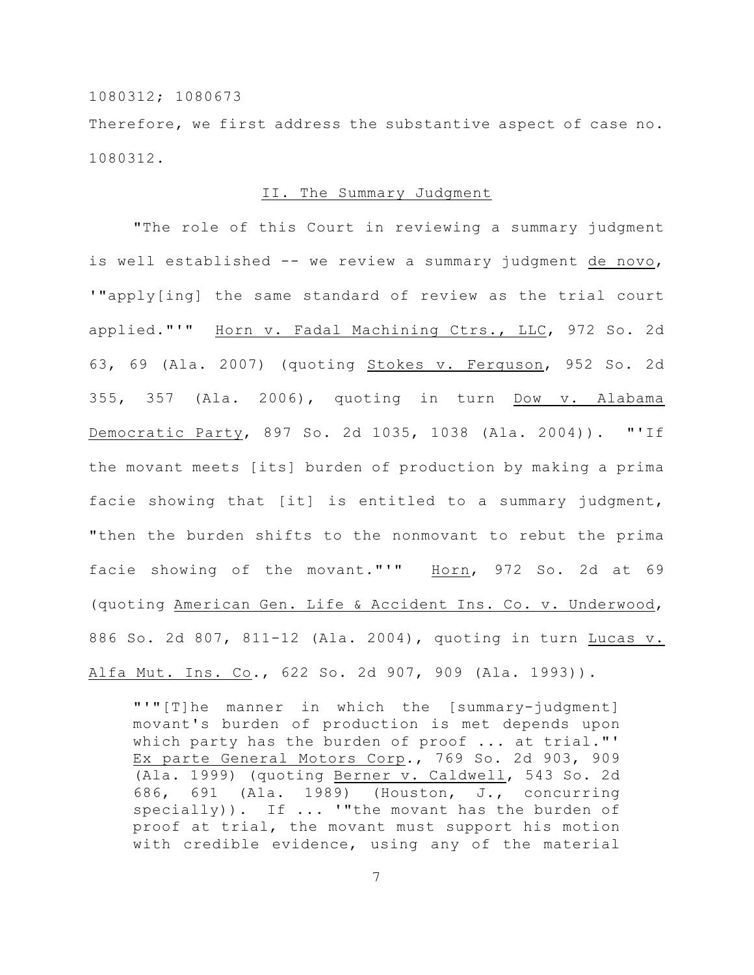Therefore, we first address the substantive aspect of case no. 1080312.

#### II. The Summary Judgment

"The role of this Court in reviewing a summary judgment is well established -- we review a summary judgment de novo, '"apply[ing] the same standard of review as the trial court applied."'" Horn v. Fadal Machining Ctrs., LLC, 972 So. 2d 63, 69 (Ala. 2007) (quoting Stokes v. Ferguson, 952 So. 2d 355, 357 (Ala. 2006), quoting in turn Dow v. Alabama Democratic Party, 897 So. 2d 1035, 1038 (Ala. 2004)). "'If the movant meets [its] burden of production by making a prima facie showing that [it] is entitled to a summary judgment, "then the burden shifts to the nonmovant to rebut the prima facie showing of the movant."'" Horn, 972 So. 2d at 69 (quoting American Gen. Life & Accident Ins. Co. v. Underwood, 886 So. 2d 807, 811-12 (Ala. 2004), quoting in turn Lucas v. Alfa Mut. Ins. Co., 622 So. 2d 907, 909 (Ala. 1993)).

"'"[T]he manner in which the [summary-judgment] movant's burden of production is met depends upon which party has the burden of proof ... at trial."' Ex parte General Motors Corp., 769 So. 2d 903, 909 (Ala. 1999) (quoting Berner v. Caldwell, 543 So. 2d 686, 691 (Ala. 1989) (Houston, J., concurring specially)). If  $\ldots$  "the movant has the burden of proof at trial, the movant must support his motion with credible evidence, using any of the material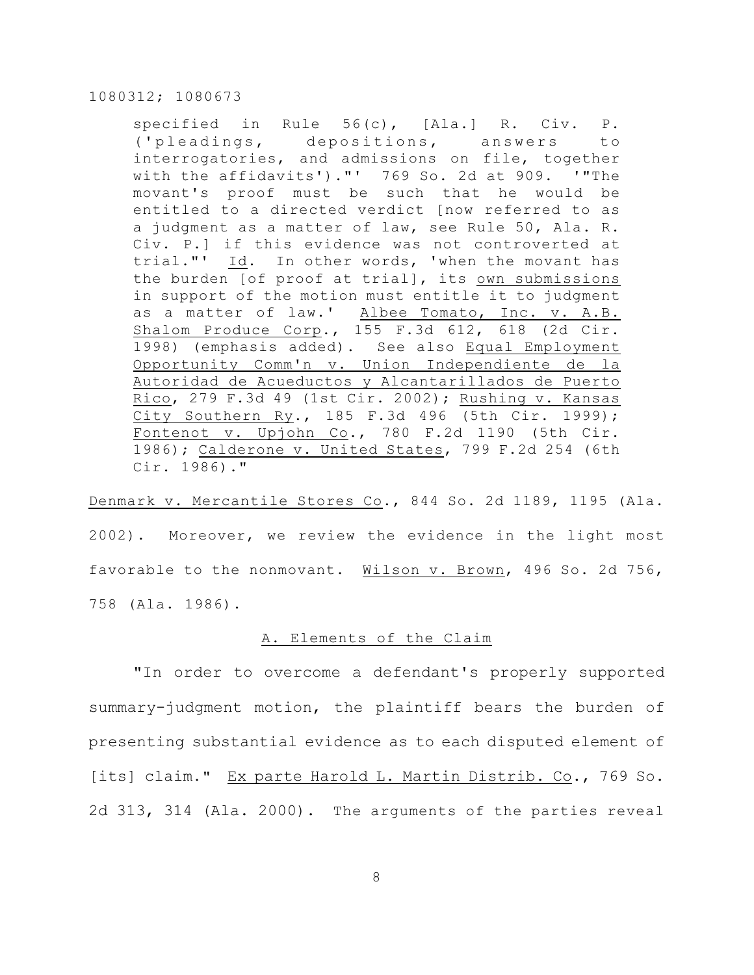specified in Rule 56(c), [Ala.] R. Civ. P. ('plea dings, depositions, answers to interrogatories, and admissions on file, together with the affidavits')."' 769 So. 2d at 909. '"The movant's proof must be such that he would be entitled to a directed verdict [now referred to as a judgment as a matter of law, see Rule 50, Ala. R. Civ. P.] if this evidence was not controverted at trial."' Id. In other words, 'when the movant has the burden [of proof at trial], its own submissions in support of the motion must entitle it to judgment as a matter of law.' Albee Tomato, Inc. v. A.B. Shalom Produce Corp., 155 F.3d 612, 618 (2d Cir. 1998) (emphasis added). See also Equal Employment Opportunity Comm'n v. Union Independiente de la Autoridad de Acueductos y Alcantarillados de Puerto Rico, 279 F.3d 49 (1st Cir. 2002); Rushing v. Kansas City Southern Ry., 185 F.3d 496 (5th Cir. 1999); Fontenot v. Upjohn  $Co.$ , 780 F.2d 1190 (5th Cir. 1986); Calderone v. United States, 799 F.2d 254 (6th Cir. 1986)."

Denmark v. Mercantile Stores Co., 844 So. 2d 1189, 1195 (Ala. 2002). Moreover, we review the evidence in the light most favorable to the nonmovant. Wilson v. Brown, 496 So. 2d 756, 758 (Ala. 1986).

### A. Elements of the Claim

"In order to overcome a defendant's properly supported summary-judgment motion, the plaintiff bears the burden of presenting substantial evidence as to each disputed element of [its] claim." Ex parte Harold L. Martin Distrib. Co., 769 So. 2d 313, 314 (Ala. 2000). The arguments of the parties reveal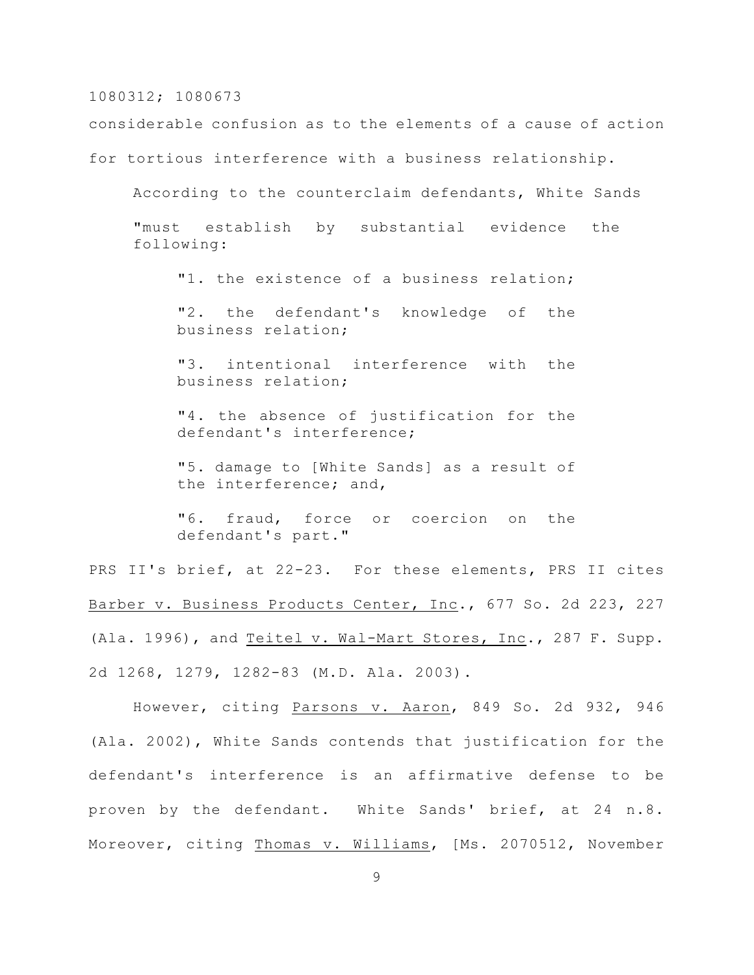considerable confusion as to the elements of a cause of action

for tortious interference with a business relationship.

According to the counterclaim defendants, White Sands "must establish by substantial evidence the following:

"1. the existence of a business relation;

"2. the defendant's knowledge of the business relation;

"3. intentional interference with the business relation;

"4. the absence of justification for the defendant's interference;

"5. damage to [White Sands] as a result of the interference; and,

"6. fraud, force or coercion on the defendant's part."

PRS II's brief, at 22-23. For these elements, PRS II cites Barber v. Business Products Center, Inc., 677 So. 2d 223, 227 (Ala. 1996), and Teitel v. Wal-Mart Stores, Inc., 287 F. Supp. 2d 1268, 1279, 1282-83 (M.D. Ala. 2003).

However, citing Parsons v. Aaron, 849 So. 2d 932, 946 (Ala. 2002), White Sands contends that justification for the defendant's interference is an affirmative defense to be proven by the defendant. White Sands' brief, at 24 n.8. Moreover, citing Thomas v. Williams, [Ms. 2070512, November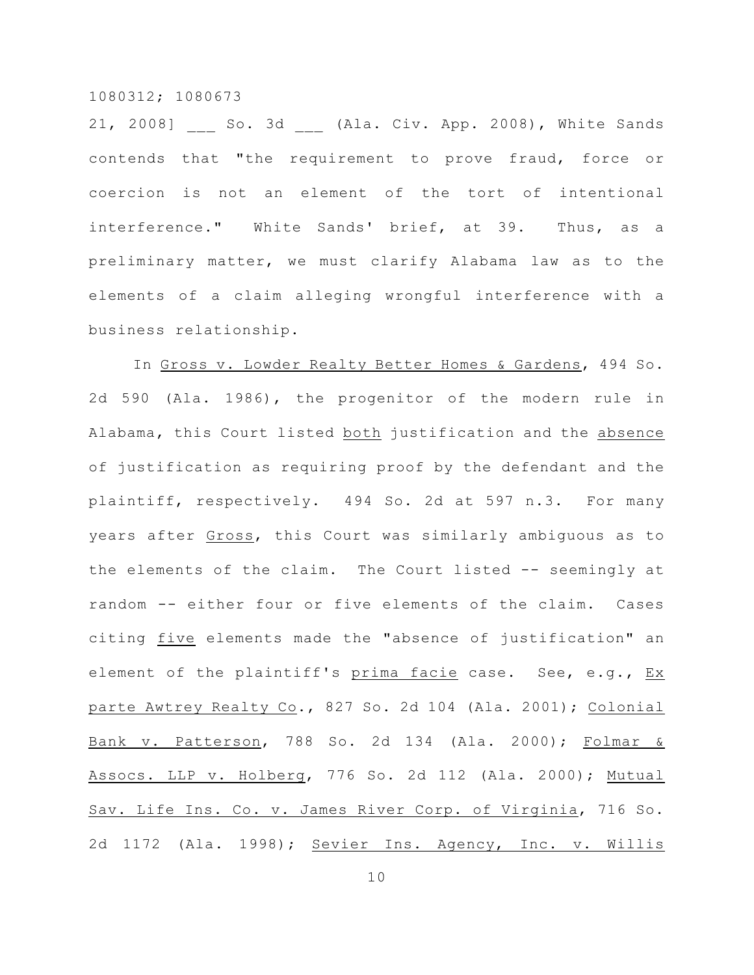21, 2008] So. 3d (Ala. Civ. App. 2008), White Sands contends that "the requirement to prove fraud, force or coercion is not an element of the tort of intentional interference." White Sands' brief, at 39. Thus, as a preliminary matter, we must clarify Alabama law as to the elements of a claim alleging wrongful interference with a business relationship.

In Gross v. Lowder Realty Better Homes & Gardens, 494 So. 2d 590 (Ala. 1986), the progenitor of the modern rule in Alabama, this Court listed both justification and the absence of justification as requiring proof by the defendant and the plaintiff, respectively. 494 So. 2d at 597 n.3. For many years after Gross, this Court was similarly ambiguous as to the elements of the claim. The Court listed -- seemingly at random -- either four or five elements of the claim. Cases citing five elements made the "absence of justification" an element of the plaintiff's prima facie case. See, e.g., Ex parte Awtrey Realty Co., 827 So. 2d 104 (Ala. 2001); Colonial Bank v. Patterson, 788 So. 2d 134 (Ala. 2000); Folmar & Assocs. LLP v. Holberg, 776 So. 2d 112 (Ala. 2000); Mutual Sav. Life Ins. Co. v. James River Corp. of Virginia, 716 So. 2d 1172 (Ala. 1998); Sevier Ins. Agency, Inc. v. Willis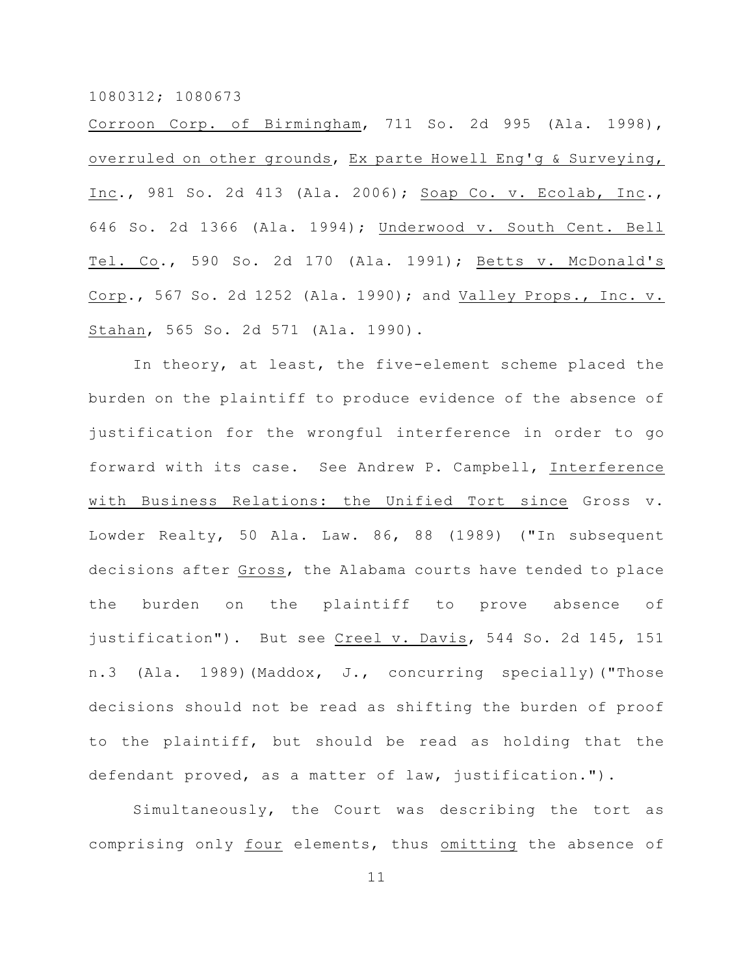Corroon Corp. of Birmingham, 711 So. 2d 995 (Ala. 1998), overruled on other grounds, Ex parte Howell Eng'g & Surveying, Inc., 981 So. 2d 413 (Ala. 2006); Soap Co. v. Ecolab, Inc., 646 So. 2d 1366 (Ala. 1994); Underwood v. South Cent. Bell Tel. Co., 590 So. 2d 170 (Ala. 1991); Betts v. McDonald's Corp., 567 So. 2d 1252 (Ala. 1990); and Valley Props., Inc. v. Stahan, 565 So. 2d 571 (Ala. 1990).

In theory, at least, the five-element scheme placed the burden on the plaintiff to produce evidence of the absence of justification for the wrongful interference in order to go forward with its case. See Andrew P. Campbell, Interference with Business Relations: the Unified Tort since Gross v. Lowder Realty, 50 Ala. Law. 86, 88 (1989) ("In subsequent decisions after Gross, the Alabama courts have tended to place the burden on the plaintiff to prove absence of justification"). But see Creel v. Davis, 544 So. 2d 145, 151 n.3 (Ala. 1989)(Maddox, J., concurring specially)("Those decisions should not be read as shifting the burden of proof to the plaintiff, but should be read as holding that the defendant proved, as a matter of law, justification.").

Simultaneously, the Court was describing the tort as comprising only four elements, thus omitting the absence of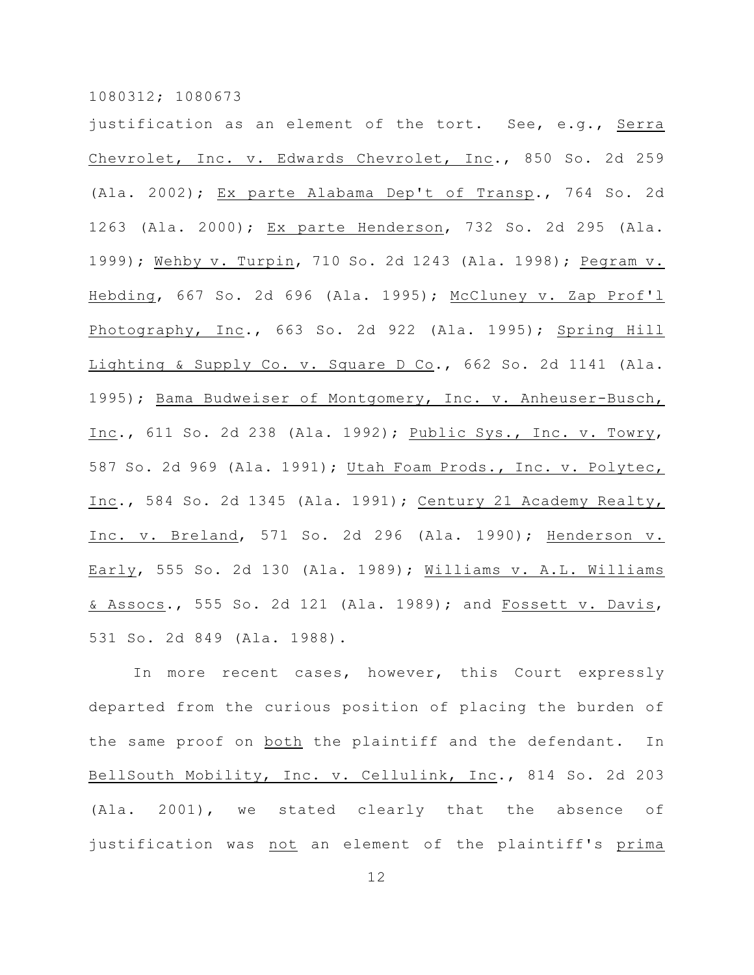justification as an element of the tort. See, e.g., Serra Chevrolet, Inc. v. Edwards Chevrolet, Inc., 850 So. 2d 259 (Ala. 2002); Ex parte Alabama Dep't of Transp., 764 So. 2d 1263 (Ala. 2000); Ex parte Henderson, 732 So. 2d 295 (Ala. 1999); Wehby v. Turpin, 710 So. 2d 1243 (Ala. 1998); Pegram v. Hebding, 667 So. 2d 696 (Ala. 1995); McCluney v. Zap Prof'l Photography, Inc., 663 So. 2d 922 (Ala. 1995); Spring Hill Lighting & Supply Co. v. Square D Co., 662 So. 2d 1141 (Ala. 1995); Bama Budweiser of Montgomery, Inc. v. Anheuser-Busch, Inc., 611 So. 2d 238 (Ala. 1992); Public Sys., Inc. v. Towry, 587 So. 2d 969 (Ala. 1991); Utah Foam Prods., Inc. v. Polytec, Inc., 584 So. 2d 1345 (Ala. 1991); Century 21 Academy Realty, Inc. v. Breland, 571 So. 2d 296 (Ala. 1990); Henderson v. Early, 555 So. 2d 130 (Ala. 1989); Williams v. A.L. Williams & Assocs., 555 So. 2d 121 (Ala. 1989); and Fossett v. Davis, 531 So. 2d 849 (Ala. 1988).

In more recent cases, however, this Court expressly departed from the curious position of placing the burden of the same proof on both the plaintiff and the defendant. In BellSouth Mobility, Inc. v. Cellulink, Inc., 814 So. 2d 203 (Ala. 2001), we stated clearly that the absence of justification was not an element of the plaintiff's prima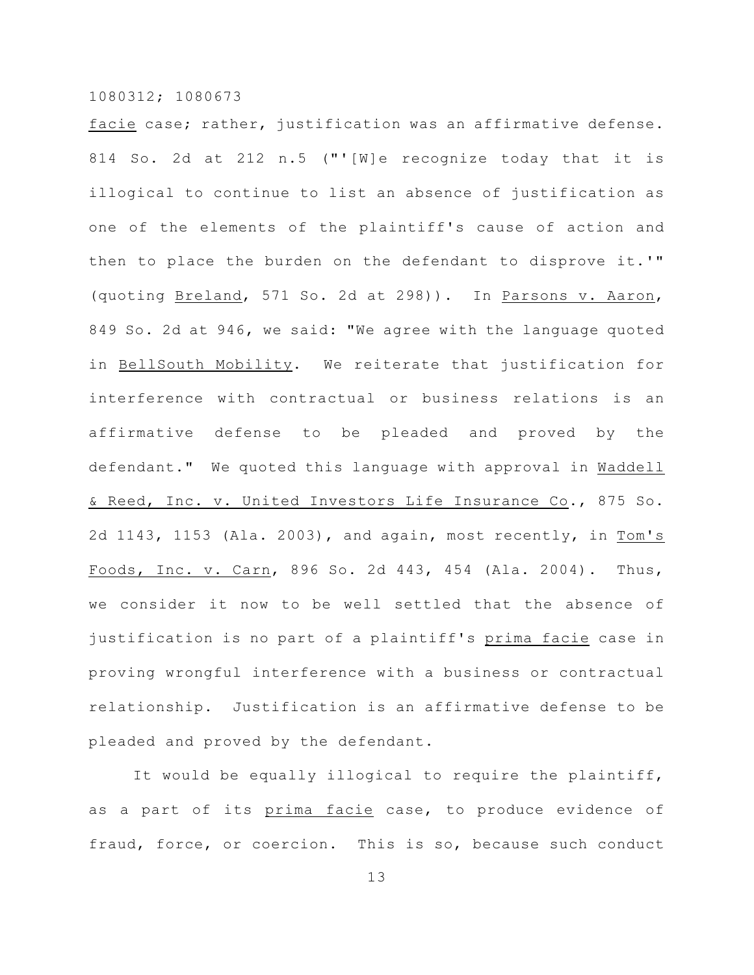facie case; rather, justification was an affirmative defense. 814 So. 2d at 212 n.5 ("'[W]e recognize today that it is illogical to continue to list an absence of justification as one of the elements of the plaintiff's cause of action and then to place the burden on the defendant to disprove it.'" (quoting Breland, 571 So. 2d at 298)). In Parsons v. Aaron, 849 So. 2d at 946, we said: "We agree with the language quoted in BellSouth Mobility. We reiterate that justification for interference with contractual or business relations is an affirmative defense to be pleaded and proved by the defendant." We quoted this language with approval in Waddell & Reed, Inc. v. United Investors Life Insurance Co., 875 So. 2d 1143, 1153 (Ala. 2003), and again, most recently, in Tom's Foods, Inc. v. Carn, 896 So. 2d 443, 454 (Ala. 2004). Thus, we consider it now to be well settled that the absence of justification is no part of a plaintiff's prima facie case in proving wrongful interference with a business or contractual relationship. Justification is an affirmative defense to be pleaded and proved by the defendant.

It would be equally illogical to require the plaintiff, as a part of its prima facie case, to produce evidence of fraud, force, or coercion. This is so, because such conduct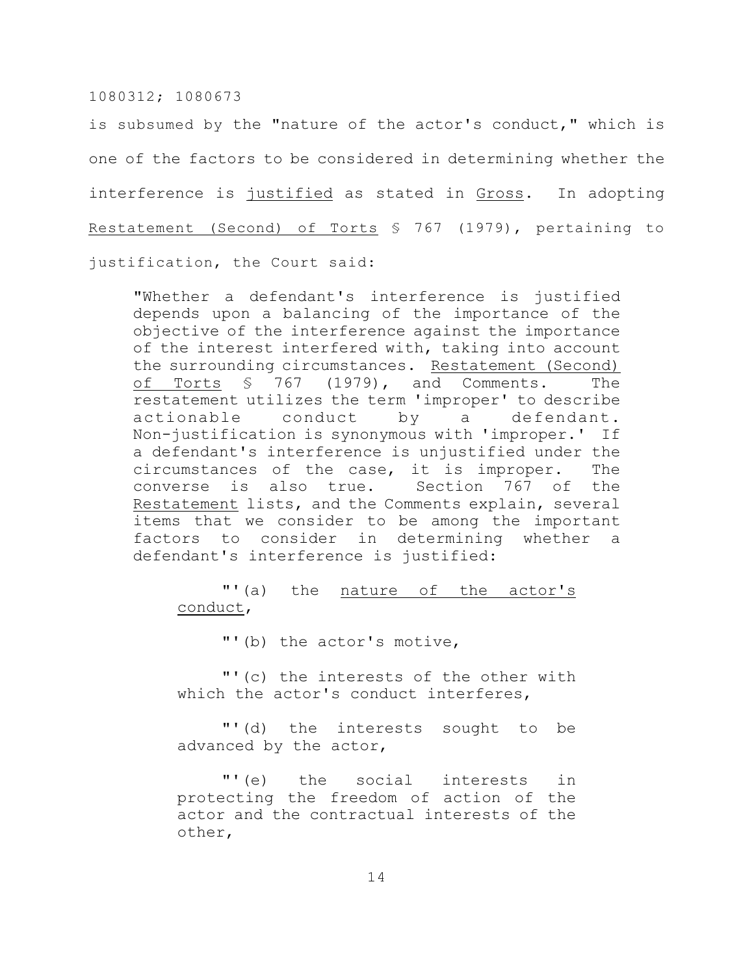is subsumed by the "nature of the actor's conduct," which is one of the factors to be considered in determining whether the interference is justified as stated in Gross. In adopting Restatement (Second) of Torts § 767 (1979), pertaining to justification, the Court said:

"Whether a defendant's interference is justified depends upon a balancing of the importance of the objective of the interference against the importance of the interest interfered with, taking into account the surrounding circumstances. Restatement (Second) of Torts § 767 (1979), and Comments. The restatement utilizes the term 'improper' to describe actionable conduct by a defendant. Non-justification is synonymous with 'improper.' If a defendant's interference is unjustified under the circumstances of the case, it is improper. The converse is also true. Section 767 of the Restatement lists, and the Comments explain, several items that we consider to be among the important factors to consider in determining whether a defendant's interference is justified:

# "'(a) the nature of the actor's conduct,

"'(b) the actor's motive,

"'(c) the interests of the other with which the actor's conduct interferes,

"'(d) the interests sought to be advanced by the actor,

"'(e) the social interests in protecting the freedom of action of the actor and the contractual interests of the other,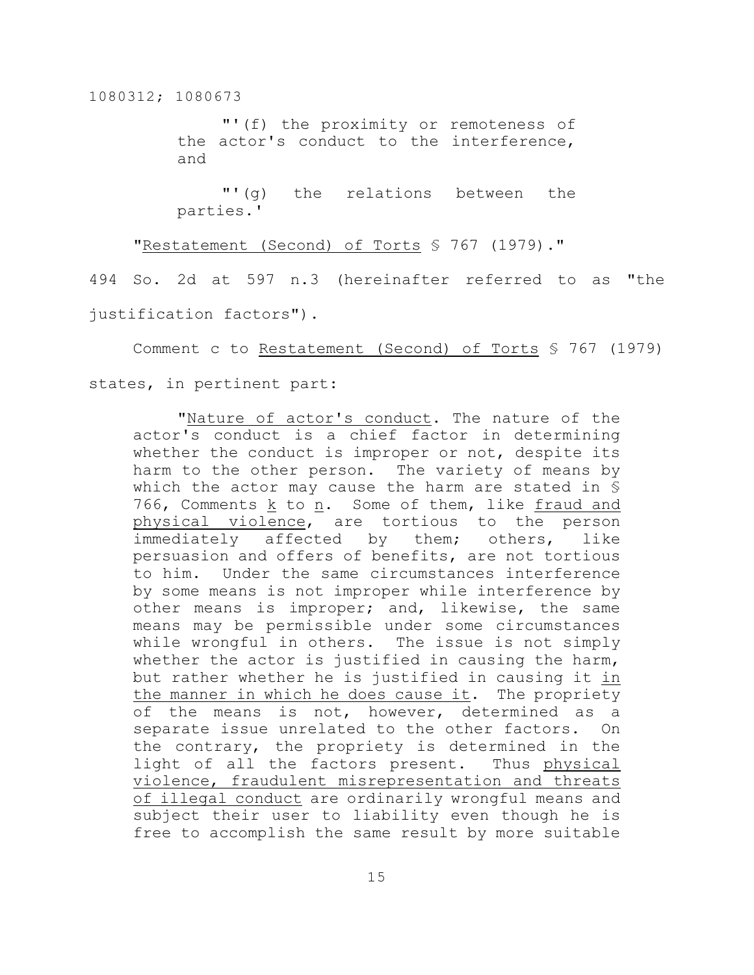"'(f) the proximity or remoteness of the actor's conduct to the interference, and

"'(g) the relations between the parties.'

"Restatement (Second) of Torts § 767 (1979)."

494 So. 2d at 597 n.3 (hereinafter referred to as "the justification factors").

Comment c to Restatement (Second) of Torts § 767 (1979) states, in pertinent part:

"Nature of actor's conduct. The nature of the actor's conduct is a chief factor in determining whether the conduct is improper or not, despite its harm to the other person. The variety of means by which the actor may cause the harm are stated in § 766, Comments k to n. Some of them, like fraud and physical violence, are tortious to the person immediately affected by them; others, like persuasion and offers of benefits, are not tortious to him. Under the same circumstances interference by some means is not improper while interference by other means is improper; and, likewise, the same means may be permissible under some circumstances while wrongful in others. The issue is not simply whether the actor is justified in causing the harm, but rather whether he is justified in causing it in the manner in which he does cause it. The propriety of the means is not, however, determined as a separate issue unrelated to the other factors. On the contrary, the propriety is determined in the light of all the factors present. Thus physical violence, fraudulent misrepresentation and threats of illegal conduct are ordinarily wrongful means and subject their user to liability even though he is free to accomplish the same result by more suitable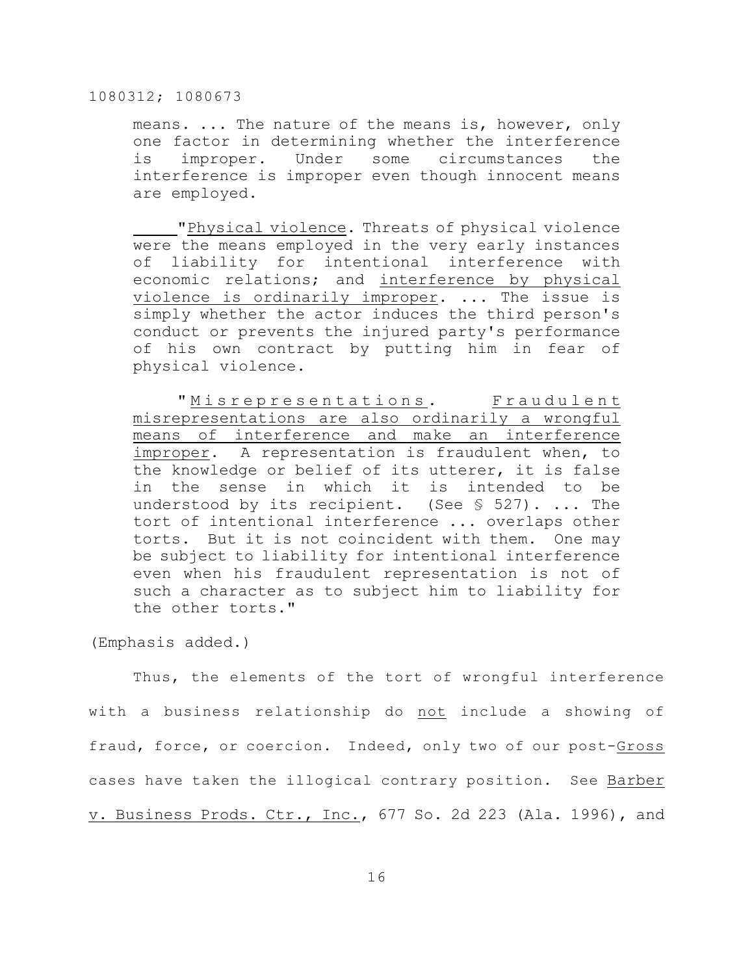means. ... The nature of the means is, however, only one factor in determining whether the interference is improper. Under some circumstances the interference is improper even though innocent means are employed.

"Physical violence. Threats of physical violence were the means employed in the very early instances of liability for intentional interference with economic relations; and interference by physical violence is ordinarily improper. ... The issue is simply whether the actor induces the third person's conduct or prevents the injured party's performance of his own contract by putting him in fear of physical violence.

"Misrepresentations. Fraudulent misrepresentations are also ordinarily a wrongful means of interference and make an interference improper. A representation is fraudulent when, to the knowledge or belief of its utterer, it is false in the sense in which it is intended to be understood by its recipient. (See  $\S$  527). ... The tort of intentional interference ... overlaps other torts. But it is not coincident with them. One may be subject to liability for intentional interference even when his fraudulent representation is not of such a character as to subject him to liability for the other torts."

(Emphasis added.)

Thus, the elements of the tort of wrongful interference with a business relationship do not include a showing of fraud, force, or coercion. Indeed, only two of our post-Gross cases have taken the illogical contrary position. See Barber v. Business Prods. Ctr., Inc., 677 So. 2d 223 (Ala. 1996), and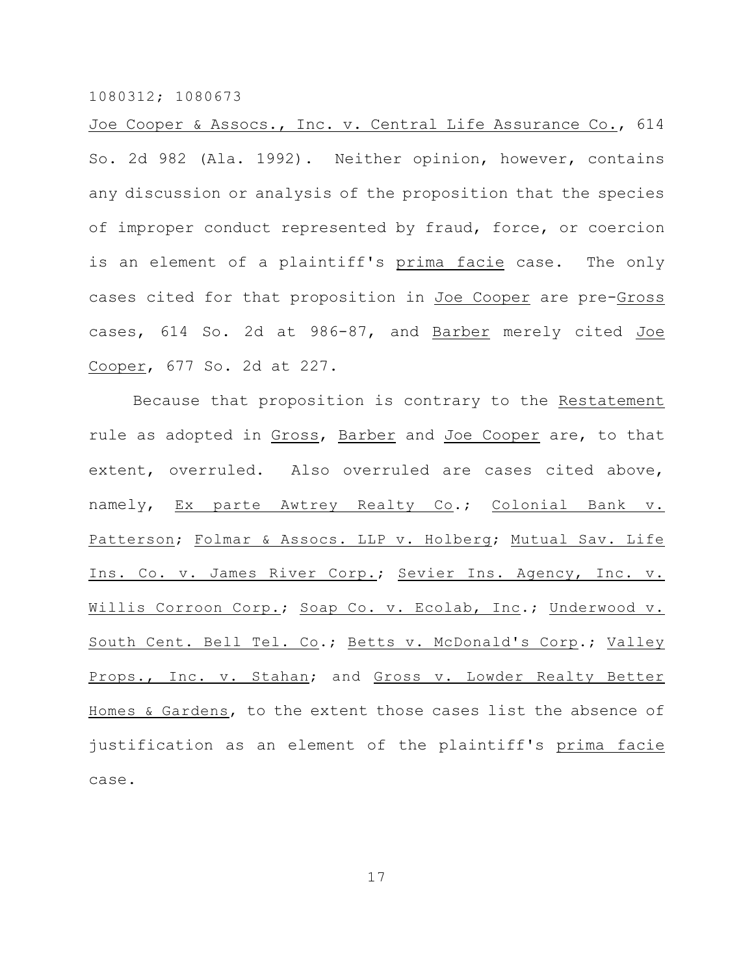Joe Cooper & Assocs., Inc. v. Central Life Assurance Co., 614 So. 2d 982 (Ala. 1992). Neither opinion, however, contains any discussion or analysis of the proposition that the species of improper conduct represented by fraud, force, or coercion is an element of a plaintiff's prima facie case. The only cases cited for that proposition in Joe Cooper are pre-Gross cases, 614 So. 2d at 986-87, and Barber merely cited Joe Cooper, 677 So. 2d at 227.

Because that proposition is contrary to the Restatement rule as adopted in Gross, Barber and Joe Cooper are, to that extent, overruled. Also overruled are cases cited above, namely, Ex parte Awtrey Realty Co.; Colonial Bank v. Patterson; Folmar & Assocs. LLP v. Holberg; Mutual Sav. Life Ins. Co. v. James River Corp.; Sevier Ins. Agency, Inc. v. Willis Corroon Corp.; Soap Co. v. Ecolab, Inc.; Underwood v. South Cent. Bell Tel. Co.; Betts v. McDonald's Corp.; Valley Props., Inc. v. Stahan; and Gross v. Lowder Realty Better Homes & Gardens, to the extent those cases list the absence of justification as an element of the plaintiff's prima facie case.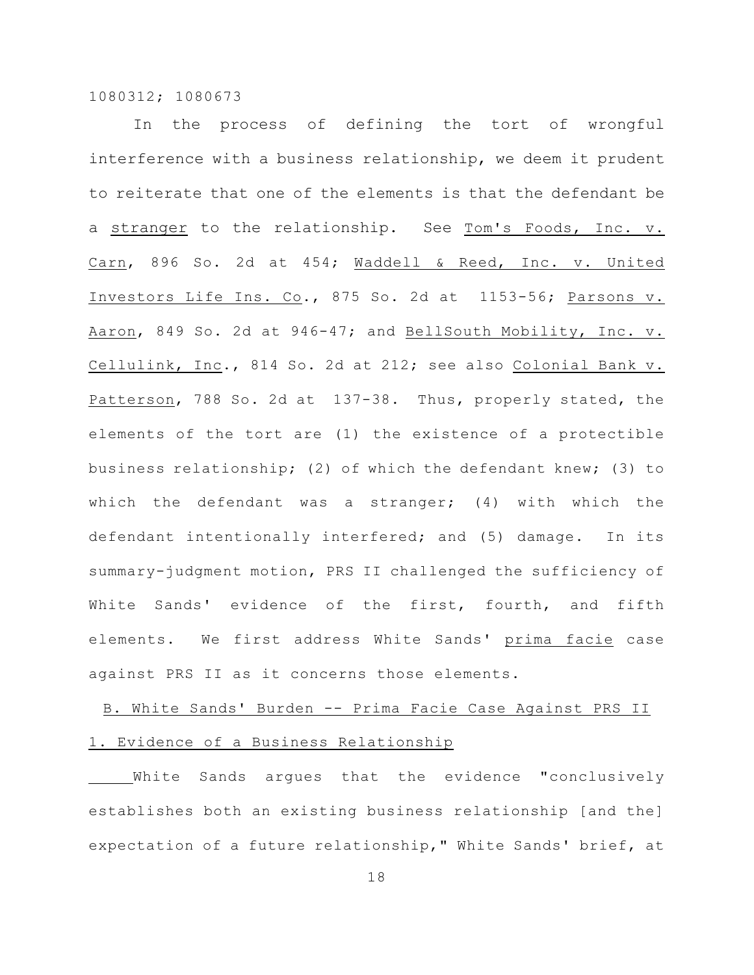In the process of defining the tort of wrongful interference with a business relationship, we deem it prudent to reiterate that one of the elements is that the defendant be a stranger to the relationship. See Tom's Foods, Inc. v. Carn, 896 So. 2d at 454; Waddell & Reed, Inc. v. United Investors Life Ins. Co., 875 So. 2d at 1153-56; Parsons v. Aaron, 849 So. 2d at 946-47; and BellSouth Mobility, Inc. v. Cellulink, Inc., 814 So. 2d at 212; see also Colonial Bank v. Patterson, 788 So. 2d at 137-38. Thus, properly stated, the elements of the tort are (1) the existence of a protectible business relationship; (2) of which the defendant knew; (3) to which the defendant was a stranger;  $(4)$  with which the defendant intentionally interfered; and (5) damage. In its summary-judgment motion, PRS II challenged the sufficiency of White Sands' evidence of the first, fourth, and fifth elements. We first address White Sands' prima facie case against PRS II as it concerns those elements.

# B. White Sands' Burden -- Prima Facie Case Against PRS II 1. Evidence of a Business Relationship

White Sands argues that the evidence "conclusively establishes both an existing business relationship [and the] expectation of a future relationship," White Sands' brief, at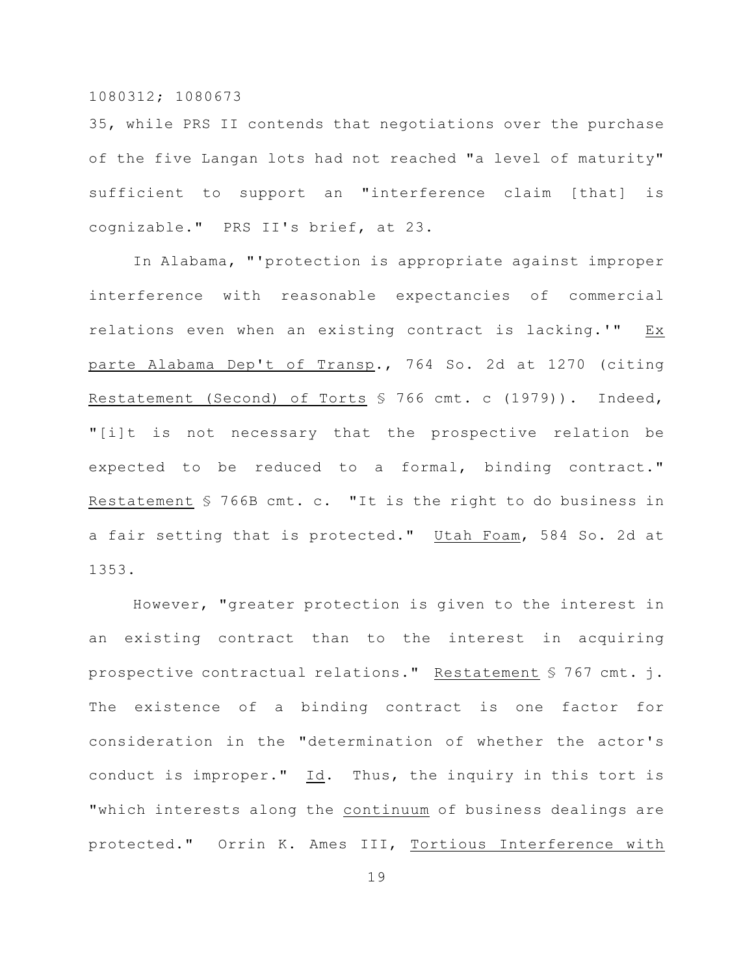35, while PRS II contends that negotiations over the purchase of the five Langan lots had not reached "a level of maturity" sufficient to support an "interference claim [that] is cognizable." PRS II's brief, at 23.

In Alabama, "'protection is appropriate against improper interference with reasonable expectancies of commercial relations even when an existing contract is lacking.'" Ex parte Alabama Dep't of Transp., 764 So. 2d at 1270 (citing Restatement (Second) of Torts § 766 cmt. c (1979)). Indeed, "[i]t is not necessary that the prospective relation be expected to be reduced to a formal, binding contract." Restatement § 766B cmt. c. "It is the right to do business in a fair setting that is protected." Utah Foam, 584 So. 2d at 1353.

However, "greater protection is given to the interest in an existing contract than to the interest in acquiring prospective contractual relations." Restatement § 767 cmt. j. The existence of a binding contract is one factor for consideration in the "determination of whether the actor's conduct is improper." Id. Thus, the inquiry in this tort is "which interests along the continuum of business dealings are protected." Orrin K. Ames III, Tortious Interference with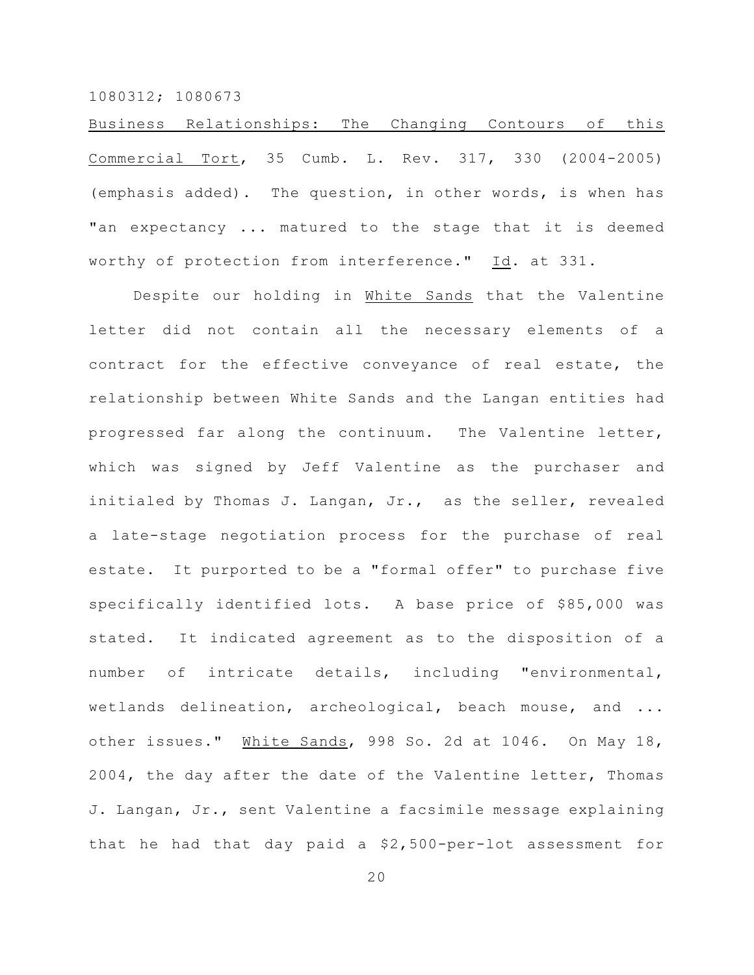Business Relationships: The Changing Contours of this Commercial Tort, 35 Cumb. L. Rev. 317, 330 (2004-2005) (emphasis added). The question, in other words, is when has "an expectancy ... matured to the stage that it is deemed worthy of protection from interference." Id. at 331.

Despite our holding in White Sands that the Valentine letter did not contain all the necessary elements of a contract for the effective conveyance of real estate, the relationship between White Sands and the Langan entities had progressed far along the continuum. The Valentine letter, which was signed by Jeff Valentine as the purchaser and initialed by Thomas J. Langan, Jr., as the seller, revealed a late-stage negotiation process for the purchase of real estate. It purported to be a "formal offer" to purchase five specifically identified lots. A base price of \$85,000 was stated. It indicated agreement as to the disposition of a number of intricate details, including "environmental, wetlands delineation, archeological, beach mouse, and ... other issues." White Sands, 998 So. 2d at 1046. On May 18, 2004, the day after the date of the Valentine letter, Thomas J. Langan, Jr., sent Valentine a facsimile message explaining that he had that day paid a \$2,500-per-lot assessment for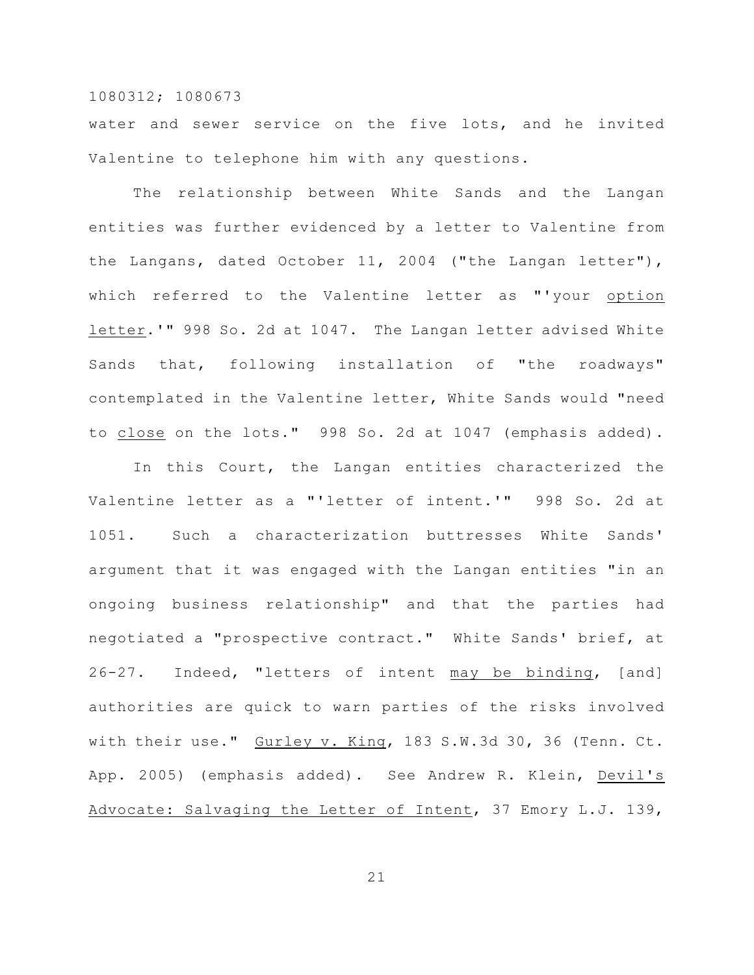water and sewer service on the five lots, and he invited Valentine to telephone him with any questions.

The relationship between White Sands and the Langan entities was further evidenced by a letter to Valentine from the Langans, dated October 11, 2004 ("the Langan letter"), which referred to the Valentine letter as "'your option letter.'" 998 So. 2d at 1047. The Langan letter advised White Sands that, following installation of "the roadways" contemplated in the Valentine letter, White Sands would "need to close on the lots." 998 So. 2d at 1047 (emphasis added).

In this Court, the Langan entities characterized the Valentine letter as a "'letter of intent.'" 998 So. 2d at 1051. Such a characterization buttresses White Sands' argument that it was engaged with the Langan entities "in an ongoing business relationship" and that the parties had negotiated a "prospective contract." White Sands' brief, at 26-27. Indeed, "letters of intent may be binding, [and] authorities are quick to warn parties of the risks involved with their use." Gurley v. King, 183 S.W.3d 30, 36 (Tenn. Ct. App. 2005) (emphasis added). See Andrew R. Klein, Devil's Advocate: Salvaging the Letter of Intent, 37 Emory L.J. 139,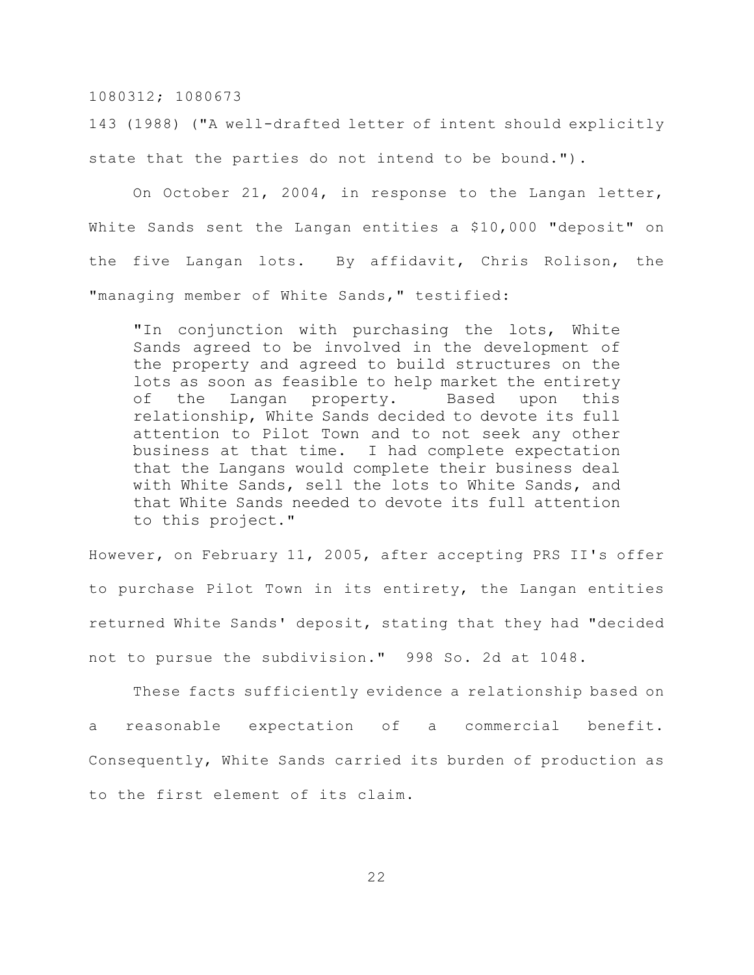143 (1988) ("A well-drafted letter of intent should explicitly state that the parties do not intend to be bound.").

On October 21, 2004, in response to the Langan letter, White Sands sent the Langan entities a \$10,000 "deposit" on the five Langan lots. By affidavit, Chris Rolison, the "managing member of White Sands," testified:

"In conjunction with purchasing the lots, White Sands agreed to be involved in the development of the property and agreed to build structures on the lots as soon as feasible to help market the entirety of the Langan property. Based upon this relationship, White Sands decided to devote its full attention to Pilot Town and to not seek any other business at that time. I had complete expectation that the Langans would complete their business deal with White Sands, sell the lots to White Sands, and that White Sands needed to devote its full attention to this project."

However, on February 11, 2005, after accepting PRS II's offer to purchase Pilot Town in its entirety, the Langan entities returned White Sands' deposit, stating that they had "decided not to pursue the subdivision." 998 So. 2d at 1048.

These facts sufficiently evidence a relationship based on a reasonable expectation of a commercial benefit. Consequently, White Sands carried its burden of production as to the first element of its claim.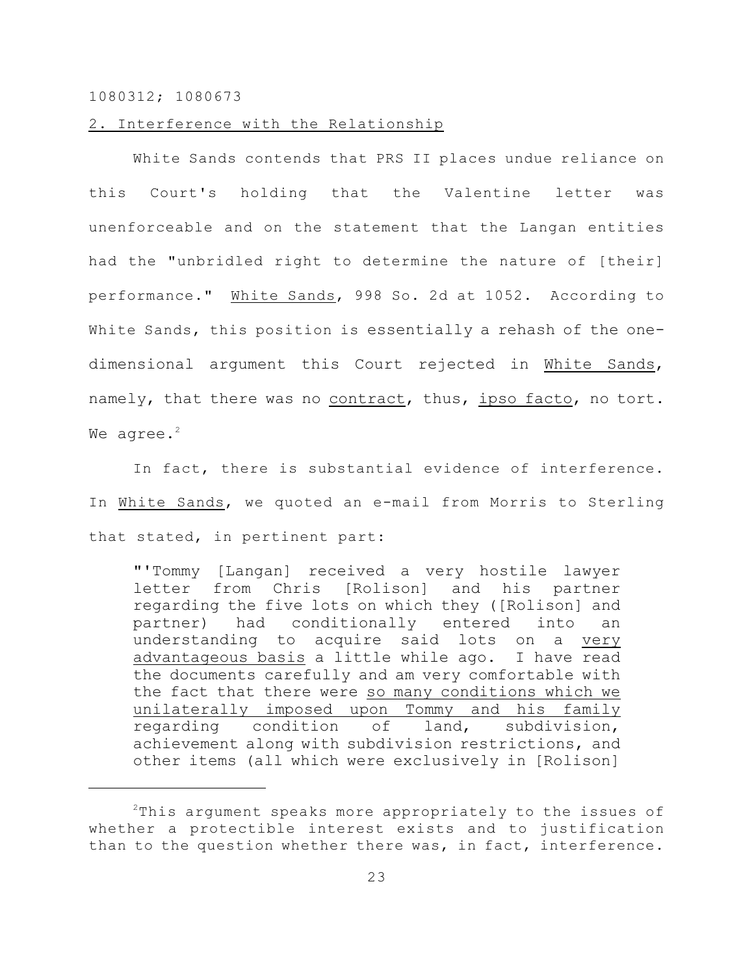#### 2. Interference with the Relationship

White Sands contends that PRS II places undue reliance on this Court's holding that the Valentine letter was unenforceable and on the statement that the Langan entities had the "unbridled right to determine the nature of [their] performance." White Sands, 998 So. 2d at 1052. According to White Sands, this position is essentially a rehash of the onedimensional argument this Court rejected in White Sands, namely, that there was no contract, thus, ipso facto, no tort. We agree.<sup>2</sup>

In fact, there is substantial evidence of interference. In White Sands, we quoted an e-mail from Morris to Sterling that stated, in pertinent part:

"'Tommy [Langan] received a very hostile lawyer letter from Chris [Rolison] and his partner regarding the five lots on which they ([Rolison] and partner) had conditionally entered into an understanding to acquire said lots on a very advantageous basis a little while ago. I have read the documents carefully and am very comfortable with the fact that there were so many conditions which we unilaterally imposed upon Tommy and his family regarding condition of land, subdivision, achievement along with subdivision restrictions, and other items (all which were exclusively in [Rolison]

 $2$ This argument speaks more appropriately to the issues of whether a protectible interest exists and to justification than to the question whether there was, in fact, interference.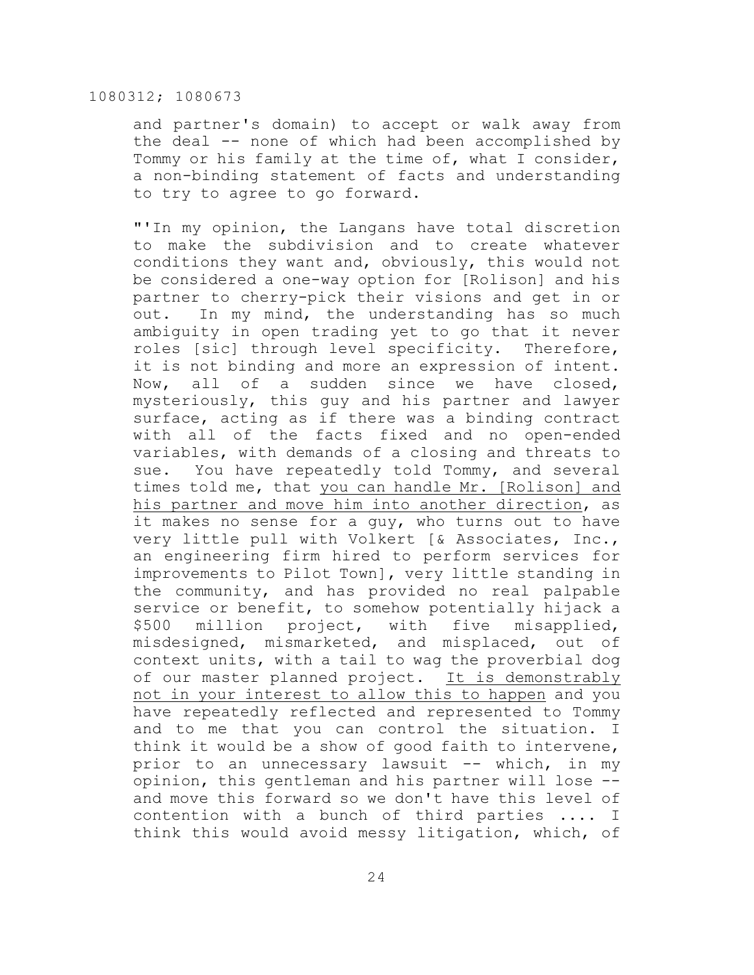and partner's domain) to accept or walk away from the deal -- none of which had been accomplished by Tommy or his family at the time of, what I consider, a non-binding statement of facts and understanding to try to agree to go forward.

"'In my opinion, the Langans have total discretion to make the subdivision and to create whatever conditions they want and, obviously, this would not be considered a one-way option for [Rolison] and his partner to cherry-pick their visions and get in or out. In my mind, the understanding has so much ambiguity in open trading yet to go that it never roles [sic] through level specificity. Therefore, it is not binding and more an expression of intent. Now, all of a sudden since we have closed, mysteriously, this guy and his partner and lawyer surface, acting as if there was a binding contract with all of the facts fixed and no open-ended variables, with demands of a closing and threats to sue. You have repeatedly told Tommy, and several times told me, that you can handle Mr. [Rolison] and his partner and move him into another direction, as it makes no sense for a guy, who turns out to have very little pull with Volkert [& Associates, Inc., an engineering firm hired to perform services for improvements to Pilot Town], very little standing in the community, and has provided no real palpable service or benefit, to somehow potentially hijack a \$500 million project, with five misapplied, misdesigned, mismarketed, and misplaced, out of context units, with a tail to wag the proverbial dog of our master planned project. It is demonstrably not in your interest to allow this to happen and you have repeatedly reflected and represented to Tommy and to me that you can control the situation. I think it would be a show of good faith to intervene, prior to an unnecessary lawsuit -- which, in my opinion, this gentleman and his partner will lose - and move this forward so we don't have this level of contention with a bunch of third parties .... I think this would avoid messy litigation, which, of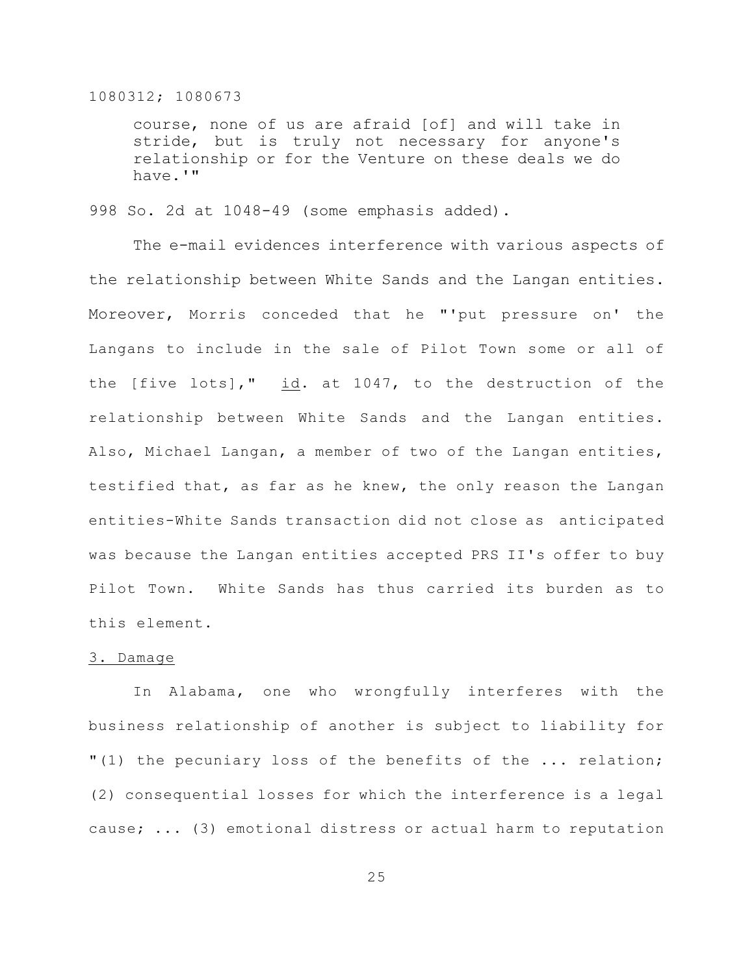course, none of us are afraid [of] and will take in stride, but is truly not necessary for anyone's relationship or for the Venture on these deals we do have.'"

998 So. 2d at 1048-49 (some emphasis added).

The e-mail evidences interference with various aspects of the relationship between White Sands and the Langan entities. Moreover, Morris conceded that he "'put pressure on' the Langans to include in the sale of Pilot Town some or all of the [five lots]," id. at 1047, to the destruction of the relationship between White Sands and the Langan entities. Also, Michael Langan, a member of two of the Langan entities, testified that, as far as he knew, the only reason the Langan entities-White Sands transaction did not close as anticipated was because the Langan entities accepted PRS II's offer to buy Pilot Town. White Sands has thus carried its burden as to this element.

# 3. Damage

In Alabama, one who wrongfully interferes with the business relationship of another is subject to liability for "(1) the pecuniary loss of the benefits of the ... relation; (2) consequential losses for which the interference is a legal cause; ... (3) emotional distress or actual harm to reputation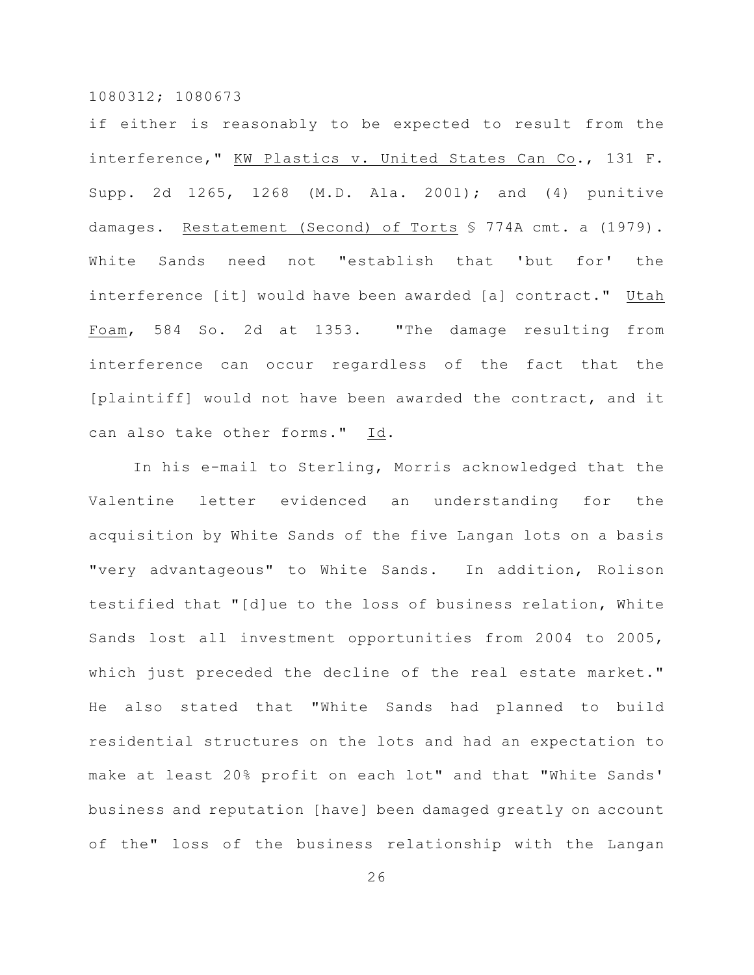if either is reasonably to be expected to result from the interference," KW Plastics v. United States Can Co., 131 F. Supp. 2d 1265, 1268 (M.D. Ala. 2001); and (4) punitive damages. Restatement (Second) of Torts § 774A cmt. a (1979). White Sands need not "establish that 'but for' the interference [it] would have been awarded [a] contract." Utah Foam, 584 So. 2d at 1353. "The damage resulting from interference can occur regardless of the fact that the [plaintiff] would not have been awarded the contract, and it can also take other forms." Id.

In his e-mail to Sterling, Morris acknowledged that the Valentine letter evidenced an understanding for the acquisition by White Sands of the five Langan lots on a basis "very advantageous" to White Sands. In addition, Rolison testified that "[d]ue to the loss of business relation, White Sands lost all investment opportunities from 2004 to 2005, which just preceded the decline of the real estate market." He also stated that "White Sands had planned to build residential structures on the lots and had an expectation to make at least 20% profit on each lot" and that "White Sands' business and reputation [have] been damaged greatly on account of the" loss of the business relationship with the Langan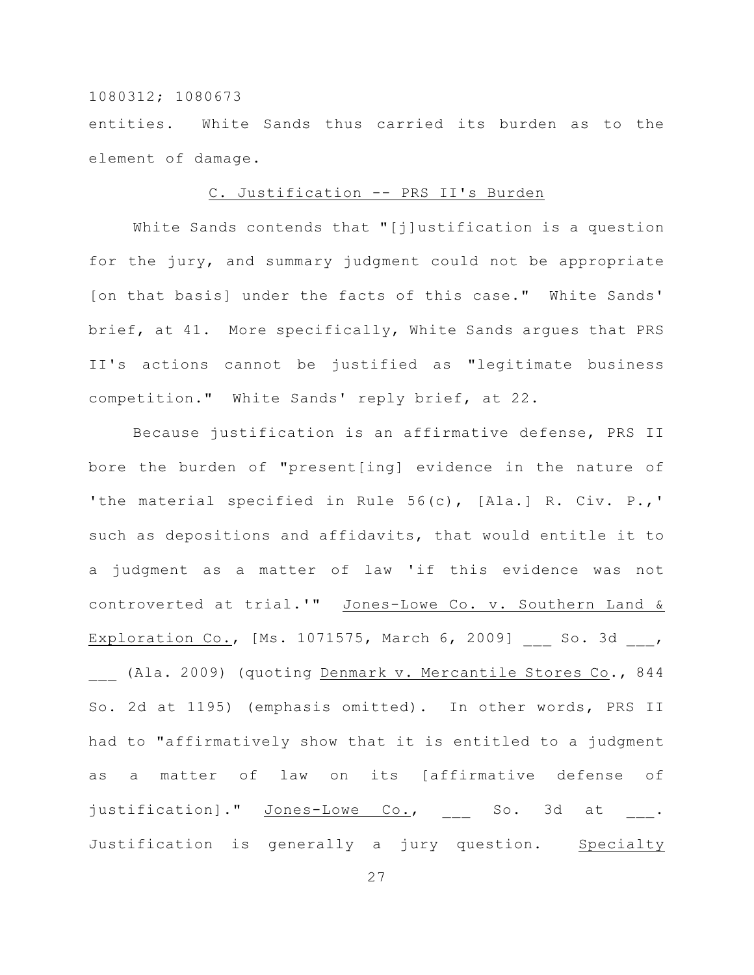entities. White Sands thus carried its burden as to the element of damage.

#### C. Justification -- PRS II's Burden

White Sands contends that "[j]ustification is a question for the jury, and summary judgment could not be appropriate [on that basis] under the facts of this case." White Sands' brief, at 41. More specifically, White Sands argues that PRS II's actions cannot be justified as "legitimate business competition." White Sands' reply brief, at 22.

Because justification is an affirmative defense, PRS II bore the burden of "present[ing] evidence in the nature of 'the material specified in Rule 56(c), [Ala.] R. Civ. P.,' such as depositions and affidavits, that would entitle it to a judgment as a matter of law 'if this evidence was not controverted at trial.'" Jones-Lowe Co. v. Southern Land & Exploration Co., [Ms. 1071575, March 6, 2009] So. 3d , (Ala. 2009) (quoting Denmark v. Mercantile Stores Co., 844 So. 2d at 1195) (emphasis omitted). In other words, PRS II had to "affirmatively show that it is entitled to a judgment as a matter of law on its [affirmative defense of justification]." Jones-Lowe Co., \_\_ So. 3d at \_\_\_. Justification is generally a jury question. Specialty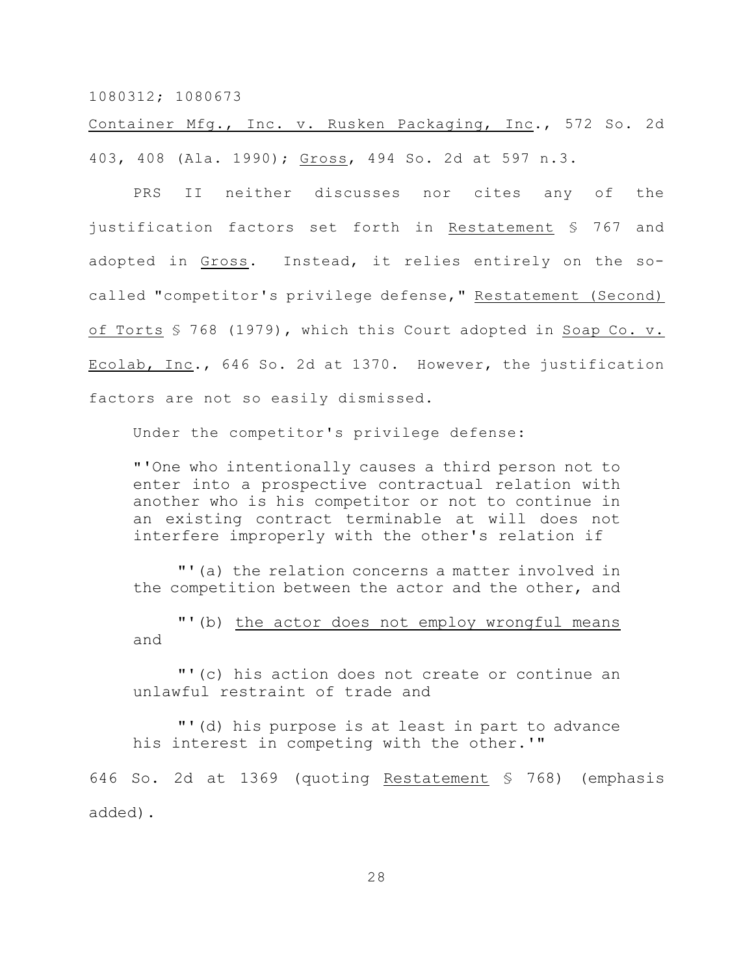Container Mfg., Inc. v. Rusken Packaging, Inc., 572 So. 2d 403, 408 (Ala. 1990); Gross, 494 So. 2d at 597 n.3.

PRS II neither discusses nor cites any of the justification factors set forth in Restatement § 767 and adopted in Gross. Instead, it relies entirely on the socalled "competitor's privilege defense," Restatement (Second) of Torts § 768 (1979), which this Court adopted in Soap Co. v. Ecolab, Inc., 646 So. 2d at 1370. However, the justification factors are not so easily dismissed.

Under the competitor's privilege defense:

"'One who intentionally causes a third person not to enter into a prospective contractual relation with another who is his competitor or not to continue in an existing contract terminable at will does not interfere improperly with the other's relation if

"'(a) the relation concerns a matter involved in the competition between the actor and the other, and

"'(b) the actor does not employ wrongful means and

"'(c) his action does not create or continue an unlawful restraint of trade and

"'(d) his purpose is at least in part to advance his interest in competing with the other.'"

646 So. 2d at 1369 (quoting Restatement § 768) (emphasis added).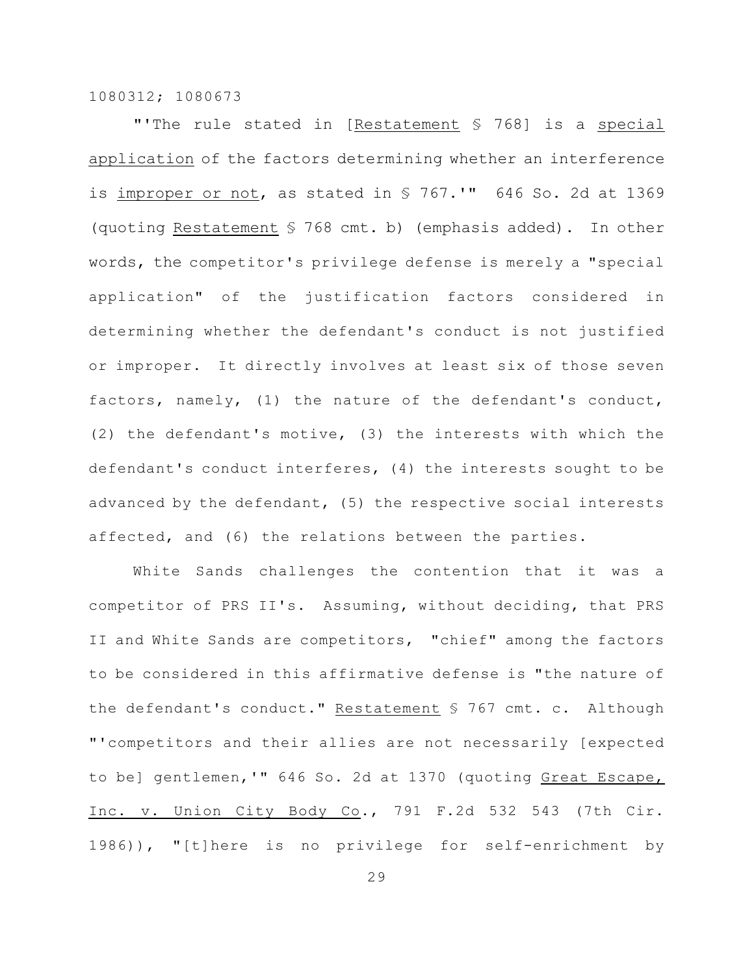"'The rule stated in [Restatement § 768] is a special application of the factors determining whether an interference is improper or not, as stated in § 767.'" 646 So. 2d at 1369 (quoting Restatement § 768 cmt. b) (emphasis added). In other words, the competitor's privilege defense is merely a "special application" of the justification factors considered in determining whether the defendant's conduct is not justified or improper. It directly involves at least six of those seven factors, namely, (1) the nature of the defendant's conduct, (2) the defendant's motive, (3) the interests with which the defendant's conduct interferes, (4) the interests sought to be advanced by the defendant, (5) the respective social interests affected, and (6) the relations between the parties.

White Sands challenges the contention that it was a competitor of PRS II's. Assuming, without deciding, that PRS II and White Sands are competitors, "chief" among the factors to be considered in this affirmative defense is "the nature of the defendant's conduct." Restatement § 767 cmt. c. Although "'competitors and their allies are not necessarily [expected to be] gentlemen,'" 646 So. 2d at 1370 (quoting Great Escape, Inc. v. Union City Body Co., 791 F.2d 532 543 (7th Cir. 1986)), "[t]here is no privilege for self-enrichment by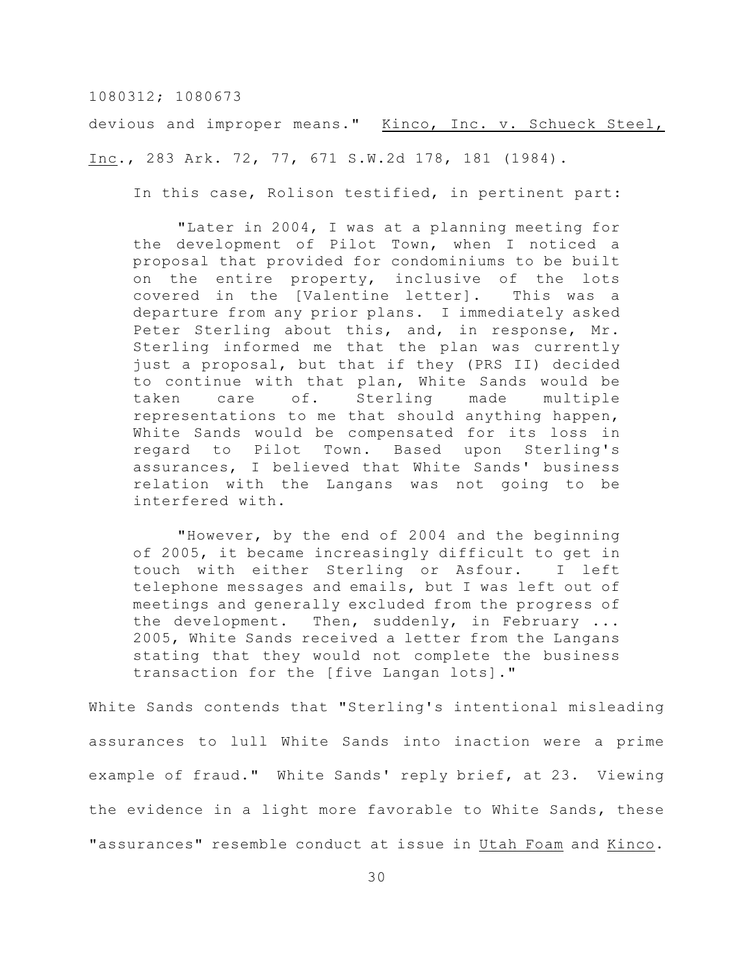devious and improper means." Kinco, Inc. v. Schueck Steel, Inc., 283 Ark. 72, 77, 671 S.W.2d 178, 181 (1984).

In this case, Rolison testified, in pertinent part:

"Later in 2004, I was at a planning meeting for the development of Pilot Town, when I noticed a proposal that provided for condominiums to be built on the entire property, inclusive of the lots covered in the [Valentine letter]. This was a departure from any prior plans. I immediately asked Peter Sterling about this, and, in response, Mr. Sterling informed me that the plan was currently just a proposal, but that if they (PRS II) decided to continue with that plan, White Sands would be taken care of. Sterling made multiple representations to me that should anything happen, White Sands would be compensated for its loss in regard to Pilot Town. Based upon Sterling's assurances, I believed that White Sands' business relation with the Langans was not going to be interfered with.

"However, by the end of 2004 and the beginning of 2005, it became increasingly difficult to get in touch with either Sterling or Asfour. I left telephone messages and emails, but I was left out of meetings and generally excluded from the progress of the development. Then, suddenly, in February ... 2005, White Sands received a letter from the Langans stating that they would not complete the business transaction for the [five Langan lots]."

White Sands contends that "Sterling's intentional misleading assurances to lull White Sands into inaction were a prime example of fraud." White Sands' reply brief, at 23. Viewing the evidence in a light more favorable to White Sands, these "assurances" resemble conduct at issue in Utah Foam and Kinco.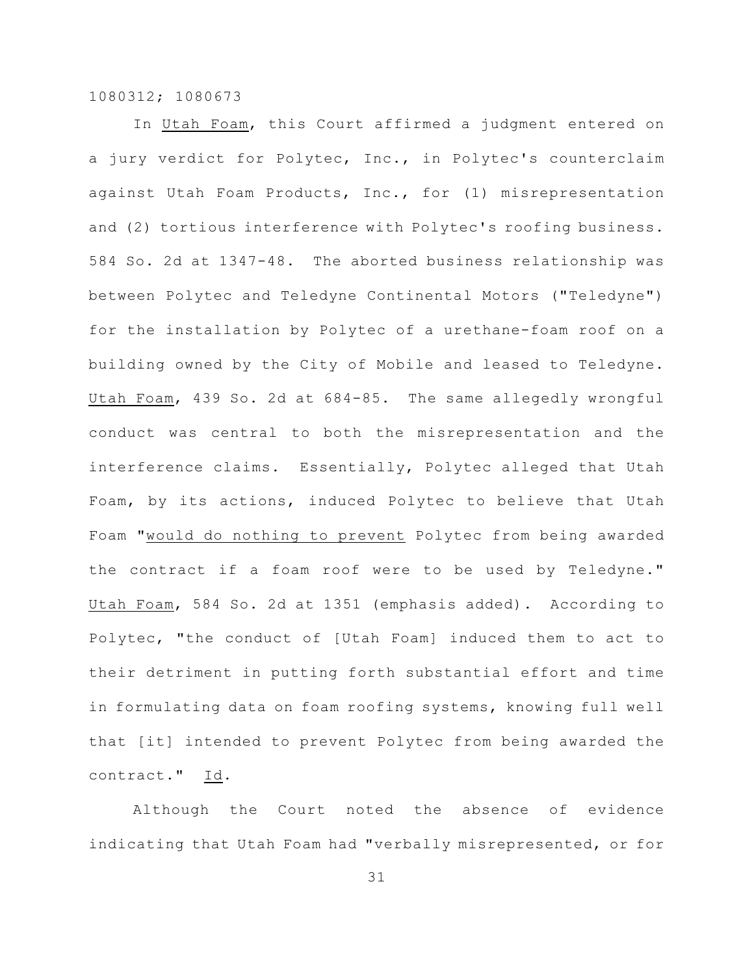In Utah Foam, this Court affirmed a judgment entered on a jury verdict for Polytec, Inc., in Polytec's counterclaim against Utah Foam Products, Inc., for (1) misrepresentation and (2) tortious interference with Polytec's roofing business. 584 So. 2d at 1347-48. The aborted business relationship was between Polytec and Teledyne Continental Motors ("Teledyne") for the installation by Polytec of a urethane-foam roof on a building owned by the City of Mobile and leased to Teledyne. Utah Foam, 439 So. 2d at 684-85. The same allegedly wrongful conduct was central to both the misrepresentation and the interference claims. Essentially, Polytec alleged that Utah Foam, by its actions, induced Polytec to believe that Utah Foam "would do nothing to prevent Polytec from being awarded the contract if a foam roof were to be used by Teledyne." Utah Foam, 584 So. 2d at 1351 (emphasis added). According to Polytec, "the conduct of [Utah Foam] induced them to act to their detriment in putting forth substantial effort and time in formulating data on foam roofing systems, knowing full well that [it] intended to prevent Polytec from being awarded the contract." Id.

Although the Court noted the absence of evidence indicating that Utah Foam had "verbally misrepresented, or for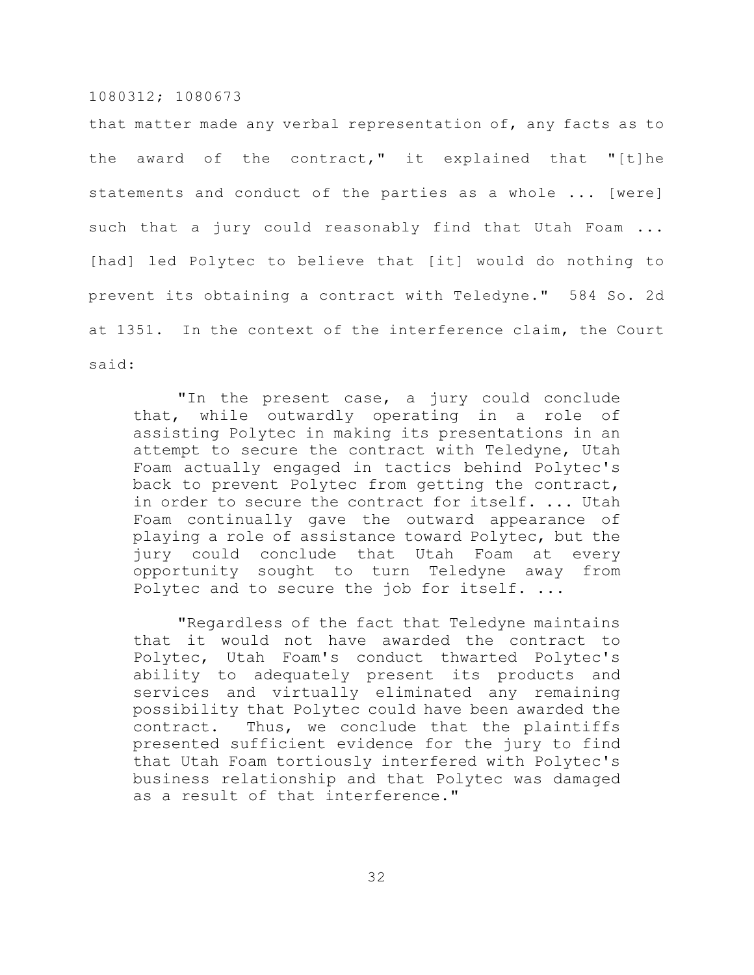that matter made any verbal representation of, any facts as to the award of the contract," it explained that "[t]he statements and conduct of the parties as a whole ... [were] such that a jury could reasonably find that Utah Foam ... [had] led Polytec to believe that [it] would do nothing to prevent its obtaining a contract with Teledyne." 584 So. 2d at 1351. In the context of the interference claim, the Court said:

"In the present case, a jury could conclude that, while outwardly operating in a role of assisting Polytec in making its presentations in an attempt to secure the contract with Teledyne, Utah Foam actually engaged in tactics behind Polytec's back to prevent Polytec from getting the contract, in order to secure the contract for itself. ... Utah Foam continually gave the outward appearance of playing a role of assistance toward Polytec, but the jury could conclude that Utah Foam at every opportunity sought to turn Teledyne away from Polytec and to secure the job for itself. ...

"Regardless of the fact that Teledyne maintains that it would not have awarded the contract to Polytec, Utah Foam's conduct thwarted Polytec's ability to adequately present its products and services and virtually eliminated any remaining possibility that Polytec could have been awarded the contract. Thus, we conclude that the plaintiffs presented sufficient evidence for the jury to find that Utah Foam tortiously interfered with Polytec's business relationship and that Polytec was damaged as a result of that interference."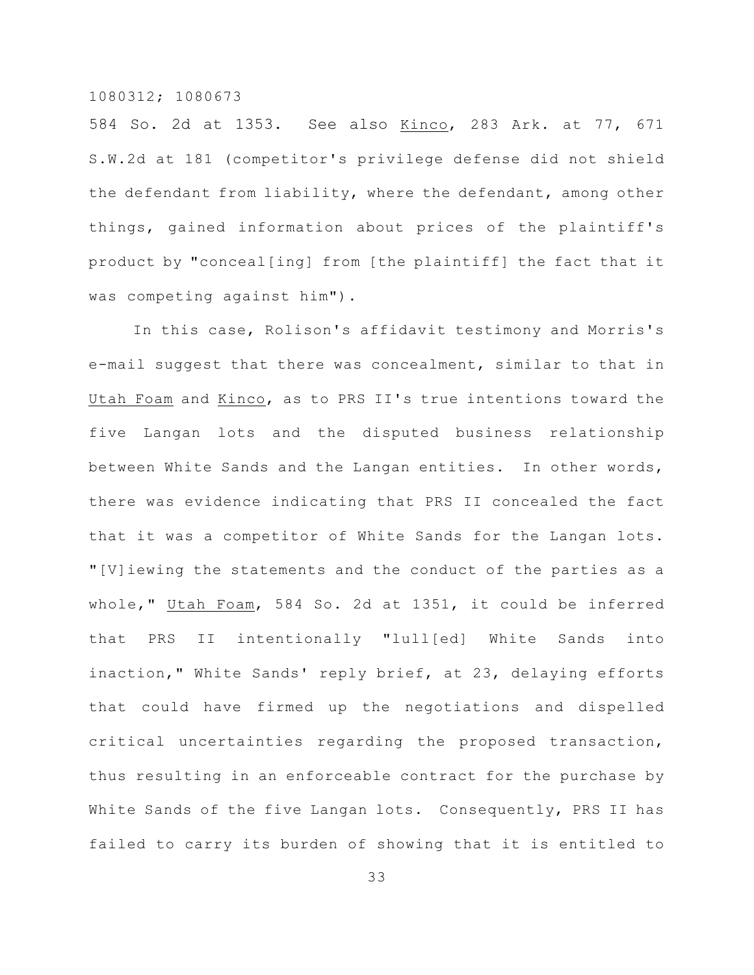584 So. 2d at 1353. See also Kinco, 283 Ark. at 77, 671 S.W.2d at 181 (competitor's privilege defense did not shield the defendant from liability, where the defendant, among other things, gained information about prices of the plaintiff's product by "conceal[ing] from [the plaintiff] the fact that it was competing against him").

In this case, Rolison's affidavit testimony and Morris's e-mail suggest that there was concealment, similar to that in Utah Foam and Kinco, as to PRS II's true intentions toward the five Langan lots and the disputed business relationship between White Sands and the Langan entities. In other words, there was evidence indicating that PRS II concealed the fact that it was a competitor of White Sands for the Langan lots. "[V]iewing the statements and the conduct of the parties as a whole," Utah Foam, 584 So. 2d at 1351, it could be inferred that PRS II intentionally "lull[ed] White Sands into inaction," White Sands' reply brief, at 23, delaying efforts that could have firmed up the negotiations and dispelled critical uncertainties regarding the proposed transaction, thus resulting in an enforceable contract for the purchase by White Sands of the five Langan lots. Consequently, PRS II has failed to carry its burden of showing that it is entitled to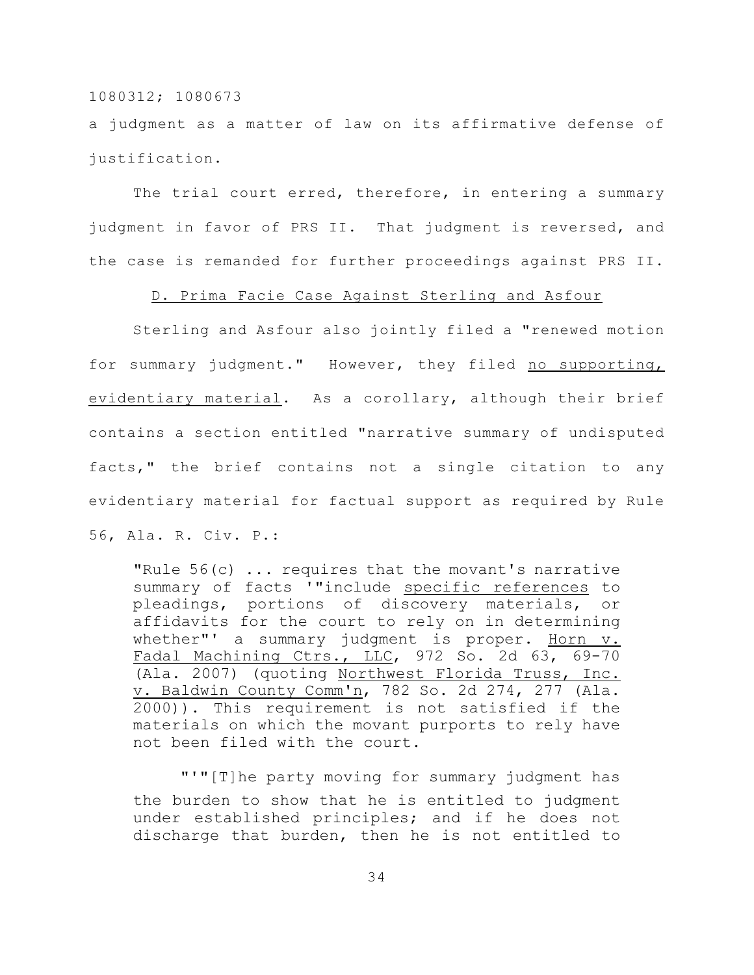a judgment as a matter of law on its affirmative defense of justification.

The trial court erred, therefore, in entering a summary judgment in favor of PRS II. That judgment is reversed, and the case is remanded for further proceedings against PRS II.

D. Prima Facie Case Against Sterling and Asfour

Sterling and Asfour also jointly filed a "renewed motion for summary judgment." However, they filed no supporting, evidentiary material. As a corollary, although their brief contains a section entitled "narrative summary of undisputed facts," the brief contains not a single citation to any evidentiary material for factual support as required by Rule 56, Ala. R. Civ. P.:

"Rule 56(c) ... requires that the movant's narrative summary of facts '"include specific references to pleadings, portions of discovery materials, or affidavits for the court to rely on in determining whether"' a summary judgment is proper. Horn v. Fadal Machining Ctrs., LLC, 972 So. 2d 63, 69-70 (Ala. 2007) (quoting Northwest Florida Truss, Inc. v. Baldwin County Comm'n, 782 So. 2d 274, 277 (Ala. 2000)). This requirement is not satisfied if the materials on which the movant purports to rely have not been filed with the court.

 "'"[T]he party moving for summary judgment has the burden to show that he is entitled to judgment under established principles; and if he does not discharge that burden, then he is not entitled to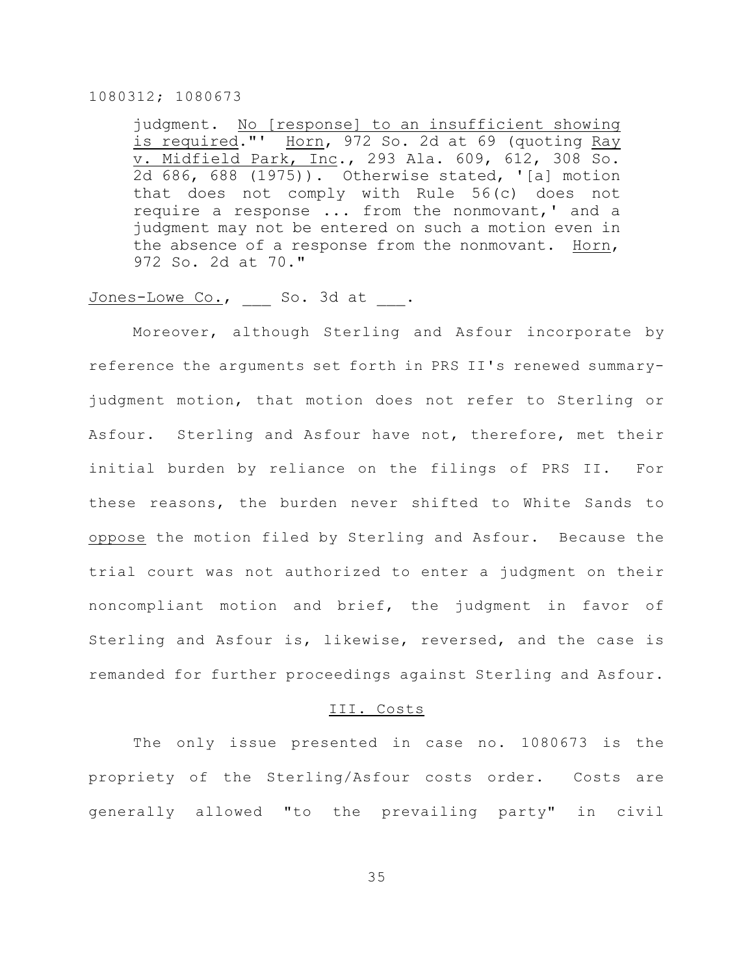judgment. No [response] to an insufficient showing is required."' Horn, 972 So. 2d at 69 (quoting Ray v. Midfield Park, Inc., 293 Ala. 609, 612, 308 So. 2d 686, 688 (1975)). Otherwise stated, '[a] motion that does not comply with Rule 56(c) does not require a response ... from the nonmovant,' and a judgment may not be entered on such a motion even in the absence of a response from the nonmovant. Horn, 972 So. 2d at 70."

# Jones-Lowe Co., So. 3d at .

Moreover, although Sterling and Asfour incorporate by reference the arguments set forth in PRS II's renewed summaryjudgment motion, that motion does not refer to Sterling or Asfour. Sterling and Asfour have not, therefore, met their initial burden by reliance on the filings of PRS II. For these reasons, the burden never shifted to White Sands to oppose the motion filed by Sterling and Asfour. Because the trial court was not authorized to enter a judgment on their noncompliant motion and brief, the judgment in favor of Sterling and Asfour is, likewise, reversed, and the case is remanded for further proceedings against Sterling and Asfour.

#### III. Costs

The only issue presented in case no. 1080673 is the propriety of the Sterling/Asfour costs order. Costs are generally allowed "to the prevailing party" in civil